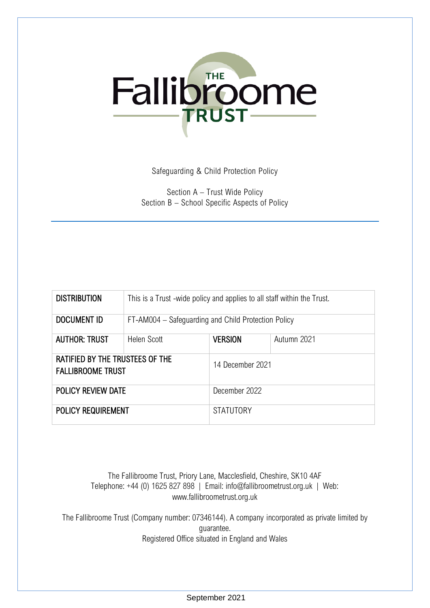

Safeguarding & Child Protection Policy

Section A – Trust Wide Policy Section B – School Specific Aspects of Policy

| <b>DISTRIBUTION</b>                                                | This is a Trust -wide policy and applies to all staff within the Trust. |                  |             |
|--------------------------------------------------------------------|-------------------------------------------------------------------------|------------------|-------------|
| <b>DOCUMENT ID</b>                                                 | FT-AM004 – Safeguarding and Child Protection Policy                     |                  |             |
| <b>AUTHOR: TRUST</b>                                               | <b>Helen Scott</b>                                                      | <b>VERSION</b>   | Autumn 2021 |
| <b>RATIFIED BY THE TRUSTEES OF THE</b><br><b>FALLIBROOME TRUST</b> |                                                                         | 14 December 2021 |             |
| POLICY REVIEW DATE                                                 |                                                                         | December 2022    |             |
| <b>POLICY REQUIREMENT</b>                                          |                                                                         | <b>STATUTORY</b> |             |

The Fallibroome Trust, Priory Lane, Macclesfield, Cheshire, SK10 4AF Telephone: +44 (0) 1625 827 898 | Email: info@fallibroometrust.org.uk | Web: www.fallibroometrust.org.uk

The Fallibroome Trust (Company number: 07346144). A company incorporated as private limited by guarantee. Registered Office situated in England and Wales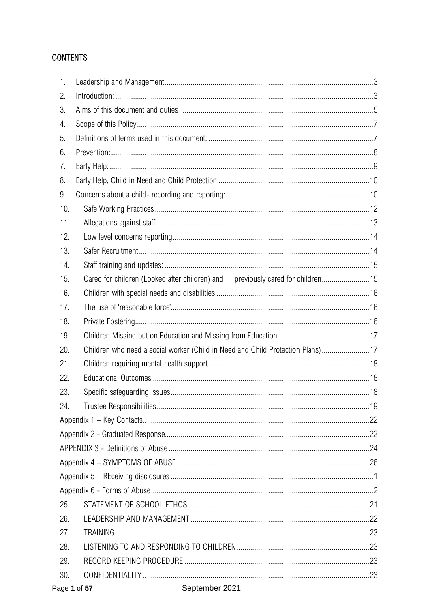# **CONTENTS**

| 1.        |                                                                                 |  |
|-----------|---------------------------------------------------------------------------------|--|
| 2.        |                                                                                 |  |
| <u>3.</u> |                                                                                 |  |
| 4.        |                                                                                 |  |
| 5.        |                                                                                 |  |
| 6.        |                                                                                 |  |
| 7.        |                                                                                 |  |
| 8.        |                                                                                 |  |
| 9.        |                                                                                 |  |
| 10.       |                                                                                 |  |
| 11.       |                                                                                 |  |
| 12.       |                                                                                 |  |
| 13.       |                                                                                 |  |
| 14.       |                                                                                 |  |
| 15.       | Cared for children (Looked after children) and previously cared for children 15 |  |
| 16.       |                                                                                 |  |
| 17.       |                                                                                 |  |
| 18.       |                                                                                 |  |
| 19.       |                                                                                 |  |
| 20.       | Children who need a social worker (Child in Need and Child Protection Plans)17  |  |
| 21.       |                                                                                 |  |
| 22.       |                                                                                 |  |
| 23.       |                                                                                 |  |
| 24.       |                                                                                 |  |
|           |                                                                                 |  |
|           |                                                                                 |  |
|           |                                                                                 |  |
|           |                                                                                 |  |
|           |                                                                                 |  |
|           |                                                                                 |  |
| 25.       |                                                                                 |  |
| 26.       |                                                                                 |  |
| 27.       |                                                                                 |  |
| 28.       |                                                                                 |  |
| 29.       |                                                                                 |  |
| 30.       |                                                                                 |  |
|           |                                                                                 |  |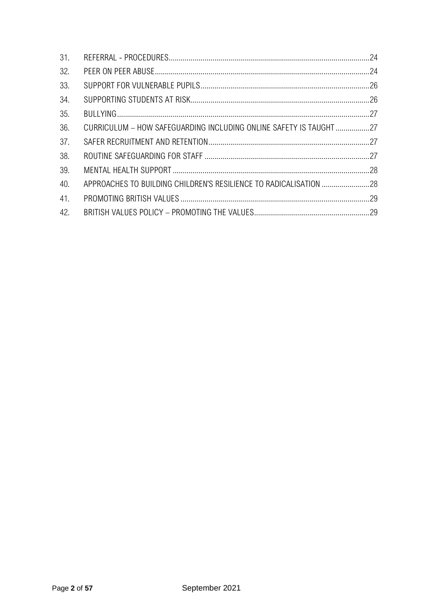| 31. |                                                                   |  |
|-----|-------------------------------------------------------------------|--|
| 32. |                                                                   |  |
| 33. |                                                                   |  |
| 34. |                                                                   |  |
| 35. |                                                                   |  |
| 36. | CURRICULUM - HOW SAFEGUARDING INCLUDING ONLINE SAFETY IS TAUGHT27 |  |
| 37. |                                                                   |  |
| 38. |                                                                   |  |
| 39. |                                                                   |  |
| 40. |                                                                   |  |
| 41. |                                                                   |  |
| 42. |                                                                   |  |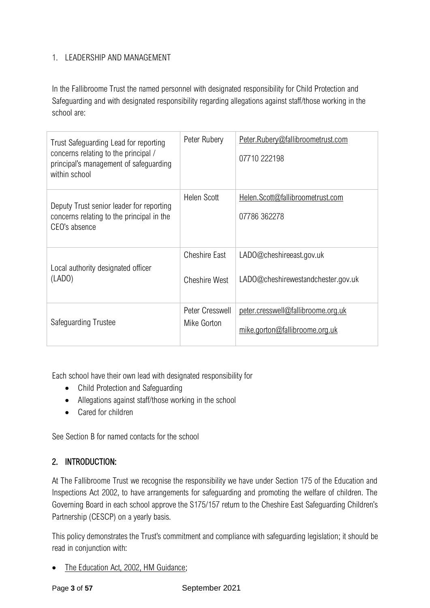# <span id="page-3-0"></span>1. LEADERSHIP AND MANAGEMENT

In the Fallibroome Trust the named personnel with designated responsibility for Child Protection and Safeguarding and with designated responsibility regarding allegations against staff/those working in the school are:

| Trust Safeguarding Lead for reporting<br>concerns relating to the principal /<br>principal's management of safeguarding<br>within school | Peter Rubery                                 | Peter.Rubery@fallibroometrust.com<br>07710 222198                    |
|------------------------------------------------------------------------------------------------------------------------------------------|----------------------------------------------|----------------------------------------------------------------------|
| Deputy Trust senior leader for reporting<br>concerns relating to the principal in the<br>CEO's absence                                   | <b>Helen Scott</b>                           | Helen.Scott@fallibroometrust.com<br>07786 362278                     |
| Local authority designated officer<br>(LADO)                                                                                             | <b>Cheshire East</b><br><b>Cheshire West</b> | LADO@cheshireeast.gov.uk<br>LADO@cheshirewestandchester.gov.uk       |
| Safeguarding Trustee                                                                                                                     | Peter Cresswell<br>Mike Gorton               | peter.cresswell@fallibroome.org.uk<br>mike.gorton@fallibroome.org.uk |

Each school have their own lead with designated responsibility for

- Child Protection and Safeguarding
- Allegations against staff/those working in the school
- Cared for children

See Section B for named contacts for the school

# <span id="page-3-1"></span>2. INTRODUCTION:

At The Fallibroome Trust we recognise the responsibility we have under Section 175 of the Education and Inspections Act 2002, to have arrangements for safeguarding and promoting the welfare of children. The Governing Board in each school approve the S175/157 return to the Cheshire East Safeguarding Children's Partnership (CESCP) on a yearly basis.

This policy demonstrates the Trust's commitment and compliance with safeguarding legislation; it should be read in conjunction with:

• [The Education Act, 2002, HM Guidance;](https://www.legislation.gov.uk/ukpga/2002/32/contents)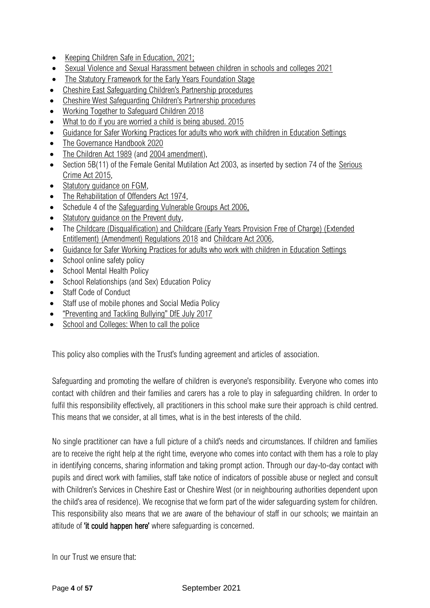- [Keeping Children Safe in Education, 2021;](https://www.gov.uk/government/publications/keeping-children-safe-in-education--2)
- [Sexual Violence and Sexual Harassment between children in schools and colleges 2021](https://assets.publishing.service.gov.uk/government/uploads/system/uploads/attachment_data/file/999239/SVSH_2021.pdf)
- [The Statutory Framework for the Early Years Foundation Stage](https://foundationyears.org.uk/2019/08/eyfspolicy/#:~:text=Early%20Years%20Foundation%20Stage%20Statutory%20Framework.%20The%20Early,an%20integrated%20approach%20to%20early%20learning%20and%20care.)
- [Cheshire East Safeguarding Children's Partnership procedures](http://www.cheshireeastlscb.org.uk/professionals/procedures-and-guidance.aspx)
- [Cheshire West Safeguarding Children's Partner](https://www.cheshirewestscp.co.uk/policy-and-procedures/)ship procedures
- [Working Together to Safeguard Children 2018](https://assets.publishing.service.gov.uk/government/uploads/system/uploads/attachment_data/file/729914/Working_Together_to_Safeguard_Children-2018.pdf)
- [What to do if you are worried a child is being abused. 2015](https://assets.publishing.service.gov.uk/government/uploads/system/uploads/attachment_data/file/419604/What_to_do_if_you_re_worried_a_child_is_being_abused.pdf)
- [Guidance for Safer Working Practices for adults who work with children in Education Settings](https://www.saferrecruitmentconsortium.org/)
- The Governance Handbook 2020
- [The Children Act 1989](http://www.legislation.gov.uk/ukpga/1989/41) (and [2004 amendment\)](http://www.legislation.gov.uk/ukpga/2004/31/contents),
- Section 5B(11) of the Female Genital Mutilation Act 2003, as inserted by section 74 of the Serious [Crime Act 2015,](http://www.legislation.gov.uk/ukpga/2015/9/part/5/crossheading/female-genital-mutilation)
- Statutory quidance on FGM,
- [The Rehabilitation of Offenders Act 1974,](http://www.legislation.gov.uk/ukpga/1974/53)
- Schedule 4 of the [Safeguarding Vulnerable Groups Act 2006,](http://www.legislation.gov.uk/ukpga/2006/47/schedule/4)
- Statutory quidance on the Prevent duty,
- The Childcare (Disqualification) and Childcare (Early Years Provision Free of Charge) (Extended [Entitlement\) \(Amendment\) Regulations 2018](http://www.legislation.gov.uk/uksi/2018/794/contents/made) and [Childcare Act 2006,](http://www.legislation.gov.uk/ukpga/2006/21/contents)
- [Guidance for Safer Working Practices for adults who work with children in Education Settings](https://www.saferrecruitmentconsortium.org/)
- School online safety policy
- School Mental Health Policy
- School Relationships (and Sex) Education Policy
- Staff Code of Conduct
- Staff use of mobile phones and Social Media Policy
- ["Preventing and Tackling Bullying" DfE July 2017](https://assets.publishing.service.gov.uk/government/uploads/system/uploads/attachment_data/file/623895/Preventing_and_tackling_bullying_advice.pdf)
- [School and Colleges: When to call the police](https://www.npcc.police.uk/documents/Children%20and%20Young%20people/When%20to%20call%20the%20police%20guidance%20for%20schools%20and%20colleges.pdf)

This policy also complies with the Trust's funding agreement and articles of association.

Safeguarding and promoting the welfare of children is everyone's responsibility. Everyone who comes into contact with children and their families and carers has a role to play in safeguarding children. In order to fulfil this responsibility effectively, all practitioners in this school make sure their approach is child centred. This means that we consider, at all times, what is in the best interests of the child.

No single practitioner can have a full picture of a child's needs and circumstances. If children and families are to receive the right help at the right time, everyone who comes into contact with them has a role to play in identifying concerns, sharing information and taking prompt action. Through our day-to-day contact with pupils and direct work with families, staff take notice of indicators of possible abuse or neglect and consult with Children's Services in Cheshire East or Cheshire West (or in neighbouring authorities dependent upon the child's area of residence). We recognise that we form part of the wider safeguarding system for children. This responsibility also means that we are aware of the behaviour of staff in our schools; we maintain an attitude of 'it could happen here' where safequarding is concerned.

In our Trust we ensure that: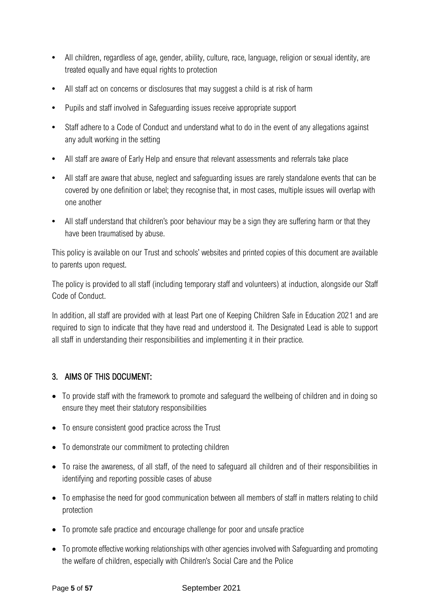- All children, regardless of age, gender, ability, culture, race, language, religion or sexual identity, are treated equally and have equal rights to protection
- **•** All staff act on concerns or disclosures that may suggest a child is at risk of harm
- **•** Pupils and staff involved in Safeguarding issues receive appropriate support
- **•** Staff adhere to a Code of Conduct and understand what to do in the event of any allegations against any adult working in the setting
- **•** All staff are aware of Early Help and ensure that relevant assessments and referrals take place
- **•** All staff are aware that abuse, neglect and safeguarding issues are rarely standalone events that can be covered by one definition or label; they recognise that, in most cases, multiple issues will overlap with one another
- All staff understand that children's poor behaviour may be a sign they are suffering harm or that they have been traumatised by abuse.

This policy is available on our Trust and schools' websites and printed copies of this document are available to parents upon request.

The policy is provided to all staff (including temporary staff and volunteers) at induction, alongside our Staff Code of Conduct.

In addition, all staff are provided with at least Part one of Keeping Children Safe in Education 2021 and are required to sign to indicate that they have read and understood it. The Designated Lead is able to support all staff in understanding their responsibilities and implementing it in their practice.

# 3. AIMS OF THIS DOCUMENT:

- To provide staff with the framework to promote and safeguard the wellbeing of children and in doing so ensure they meet their statutory responsibilities
- To ensure consistent good practice across the Trust
- To demonstrate our commitment to protecting children
- To raise the awareness, of all staff, of the need to safeguard all children and of their responsibilities in identifying and reporting possible cases of abuse
- To emphasise the need for good communication between all members of staff in matters relating to child protection
- To promote safe practice and encourage challenge for poor and unsafe practice
- To promote effective working relationships with other agencies involved with Safeguarding and promoting the welfare of children, especially with Children's Social Care and the Police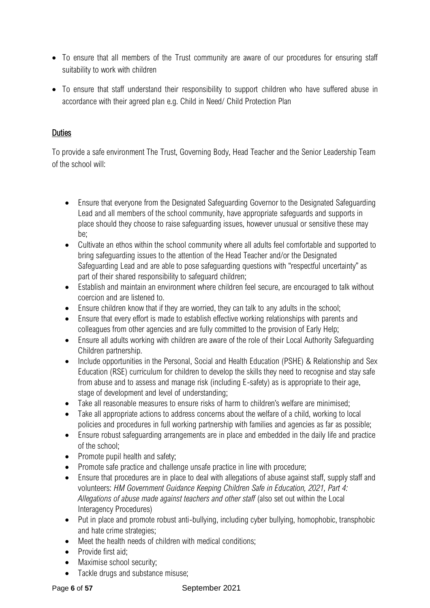- To ensure that all members of the Trust community are aware of our procedures for ensuring staff suitability to work with children
- To ensure that staff understand their responsibility to support children who have suffered abuse in accordance with their agreed plan e.g. Child in Need/ Child Protection Plan

#### **Duties**

To provide a safe environment The Trust, Governing Body, Head Teacher and the Senior Leadership Team of the school will:

- Ensure that everyone from the Designated Safeguarding Governor to the Designated Safeguarding Lead and all members of the school community, have appropriate safeguards and supports in place should they choose to raise safeguarding issues, however unusual or sensitive these may be;
- Cultivate an ethos within the school community where all adults feel comfortable and supported to bring safeguarding issues to the attention of the Head Teacher and/or the Designated Safeguarding Lead and are able to pose safeguarding questions with "respectful uncertainty" as part of their shared responsibility to safeguard children;
- Establish and maintain an environment where children feel secure, are encouraged to talk without coercion and are listened to.
- Ensure children know that if they are worried, they can talk to any adults in the school;
- Ensure that every effort is made to establish effective working relationships with parents and colleagues from other agencies and are fully committed to the provision of Early Help;
- Ensure all adults working with children are aware of the role of their Local Authority Safeguarding Children partnership.
- Include opportunities in the Personal, Social and Health Education (PSHE) & Relationship and Sex Education (RSE) curriculum for children to develop the skills they need to recognise and stay safe from abuse and to assess and manage risk (including E-safety) as is appropriate to their age, stage of development and level of understanding;
- Take all reasonable measures to ensure risks of harm to children's welfare are minimised;
- Take all appropriate actions to address concerns about the welfare of a child, working to local policies and procedures in full working partnership with families and agencies as far as possible;
- Ensure robust safeguarding arrangements are in place and embedded in the daily life and practice of the school;
- Promote pupil health and safety:
- Promote safe practice and challenge unsafe practice in line with procedure;
- Ensure that procedures are in place to deal with allegations of abuse against staff, supply staff and volunteers: *HM Government Guidance Keeping Children Safe in Education, 2021, Part 4: Allegations of abuse made against teachers and other staff* (also set out within the Local Interagency Procedures)
- Put in place and promote robust anti-bullying, including cyber bullying, homophobic, transphobic and hate crime strategies;
- Meet the health needs of children with medical conditions;
- Provide first aid:
- Maximise school security:
- Tackle drugs and substance misuse:

#### Page 6 of 57 September 2021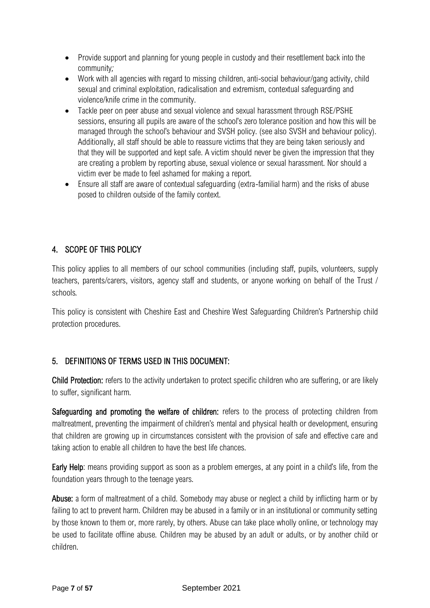- Provide support and planning for young people in custody and their resettlement back into the community*;*
- Work with all agencies with regard to missing children, anti-social behaviour/gang activity, child sexual and criminal exploitation, radicalisation and extremism, contextual safeguarding and violence/knife crime in the community.
- Tackle peer on peer abuse and sexual violence and sexual harassment through RSE/PSHE sessions, ensuring all pupils are aware of the school's zero tolerance position and how this will be managed through the school's behaviour and SVSH policy. (see also SVSH and behaviour policy). Additionally, all staff should be able to reassure victims that they are being taken seriously and that they will be supported and kept safe. A victim should never be given the impression that they are creating a problem by reporting abuse, sexual violence or sexual harassment. Nor should a victim ever be made to feel ashamed for making a report.
- Ensure all staff are aware of contextual safeguarding (extra-familial harm) and the risks of abuse posed to children outside of the family context.

# <span id="page-7-0"></span>4. SCOPE OF THIS POLICY

This policy applies to all members of our school communities (including staff, pupils, volunteers, supply teachers, parents/carers, visitors, agency staff and students, or anyone working on behalf of the Trust / schools*.*

This policy is consistent with Cheshire East and Cheshire West Safeguarding Children's Partnership child protection procedures.

# <span id="page-7-1"></span>5. DEFINITIONS OF TERMS USED IN THIS DOCUMENT:

Child Protection: refers to the activity undertaken to protect specific children who are suffering, or are likely to suffer, significant harm.

Safeguarding and promoting the welfare of children: refers to the process of protecting children from maltreatment, preventing the impairment of children's mental and physical health or development, ensuring that children are growing up in circumstances consistent with the provision of safe and effective care and taking action to enable all children to have the best life chances.

Early Help: means providing support as soon as a problem emerges, at any point in a child's life, from the foundation years through to the teenage years.

Abuse: a form of maltreatment of a child. Somebody may abuse or neglect a child by inflicting harm or by failing to act to prevent harm. Children may be abused in a family or in an institutional or community setting by those known to them or, more rarely, by others. Abuse can take place wholly online, or technology may be used to facilitate offline abuse. Children may be abused by an adult or adults, or by another child or children.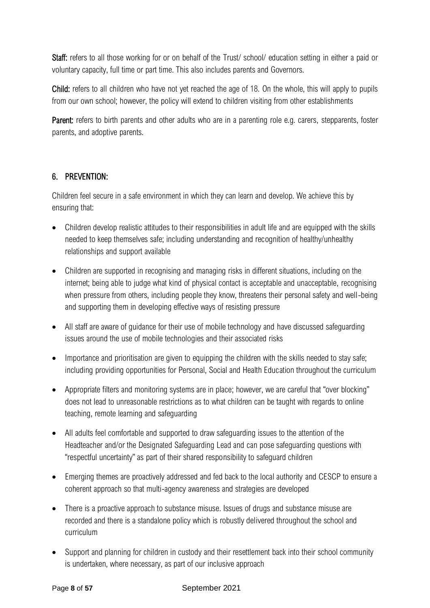Staff: refers to all those working for or on behalf of the Trust/ school/ education setting in either a paid or voluntary capacity, full time or part time. This also includes parents and Governors.

Child: refers to all children who have not yet reached the age of 18. On the whole, this will apply to pupils from our own school; however, the policy will extend to children visiting from other establishments

Parent: refers to birth parents and other adults who are in a parenting role e.g. carers, stepparents, foster parents, and adoptive parents.

#### <span id="page-8-0"></span>6. PREVENTION:

Children feel secure in a safe environment in which they can learn and develop. We achieve this by ensuring that:

- Children develop realistic attitudes to their responsibilities in adult life and are equipped with the skills needed to keep themselves safe; including understanding and recognition of healthy/unhealthy relationships and support available
- Children are supported in recognising and managing risks in different situations, including on the internet; being able to judge what kind of physical contact is acceptable and unacceptable, recognising when pressure from others, including people they know, threatens their personal safety and well-being and supporting them in developing effective ways of resisting pressure
- All staff are aware of guidance for their use of mobile technology and have discussed safeguarding issues around the use of mobile technologies and their associated risks
- Importance and prioritisation are given to equipping the children with the skills needed to stay safe; including providing opportunities for Personal, Social and Health Education throughout the curriculum
- Appropriate filters and monitoring systems are in place; however, we are careful that "over blocking" does not lead to unreasonable restrictions as to what children can be taught with regards to online teaching, remote learning and safeguarding
- All adults feel comfortable and supported to draw safeguarding issues to the attention of the Headteacher and/or the Designated Safeguarding Lead and can pose safeguarding questions with "respectful uncertainty" as part of their shared responsibility to safeguard children
- Emerging themes are proactively addressed and fed back to the local authority and CESCP to ensure a coherent approach so that multi-agency awareness and strategies are developed
- There is a proactive approach to substance misuse. Issues of drugs and substance misuse are recorded and there is a standalone policy which is robustly delivered throughout the school and curriculum
- Support and planning for children in custody and their resettlement back into their school community is undertaken, where necessary, as part of our inclusive approach

#### Page 8 of 57 September 2021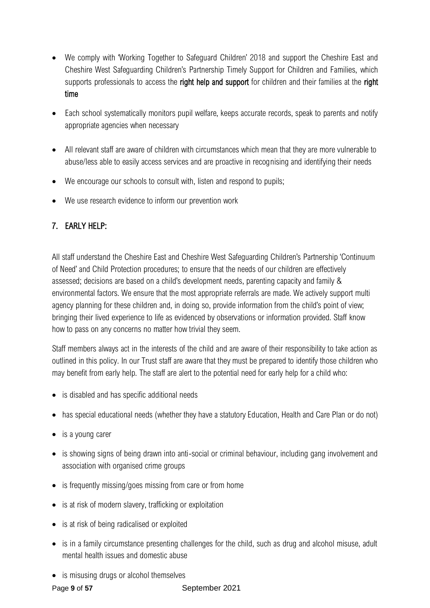- We comply with 'Working Together to Safeguard Children' 2018 and support the Cheshire East and Cheshire West Safeguarding Children's Partnership Timely Support for Children and Families, which supports professionals to access the right help and support for children and their families at the right time
- Each school systematically monitors pupil welfare, keeps accurate records, speak to parents and notify appropriate agencies when necessary
- All relevant staff are aware of children with circumstances which mean that they are more vulnerable to abuse/less able to easily access services and are proactive in recognising and identifying their needs
- We encourage our schools to consult with, listen and respond to pupils;
- We use research evidence to inform our prevention work

# <span id="page-9-0"></span>7. EARLY HELP:

All staff understand the Cheshire East and Cheshire West Safeguarding Children's Partnership 'Continuum of Need' and Child Protection procedures; to ensure that the needs of our children are effectively assessed; decisions are based on a child's development needs, parenting capacity and family & environmental factors. We ensure that the most appropriate referrals are made. We actively support multi agency planning for these children and, in doing so, provide information from the child's point of view; bringing their lived experience to life as evidenced by observations or information provided. Staff know how to pass on any concerns no matter how trivial they seem.

Staff members always act in the interests of the child and are aware of their responsibility to take action as outlined in this policy. In our Trust staff are aware that they must be prepared to identify those children who may benefit from early help. The staff are alert to the potential need for early help for a child who:

- is disabled and has specific additional needs
- has special educational needs (whether they have a statutory Education, Health and Care Plan or do not)
- is a young carer
- is showing signs of being drawn into anti-social or criminal behaviour, including gang involvement and association with organised crime groups
- is frequently missing/goes missing from care or from home
- is at risk of modern slavery, trafficking or exploitation
- is at risk of being radicalised or exploited
- is in a family circumstance presenting challenges for the child, such as drug and alcohol misuse, adult mental health issues and domestic abuse
- is misusing drugs or alcohol themselves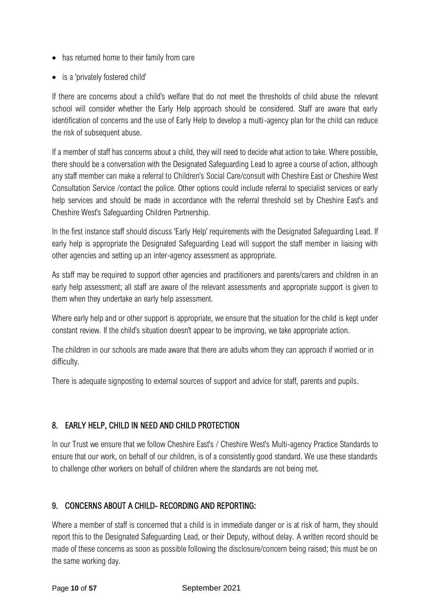- has returned home to their family from care
- is a 'privately fostered child'

If there are concerns about a child's welfare that do not meet the thresholds of child abuse the relevant school will consider whether the Early Help approach should be considered. Staff are aware that early identification of concerns and the use of Early Help to develop a multi-agency plan for the child can reduce the risk of subsequent abuse.

If a member of staff has concerns about a child, they will need to decide what action to take. Where possible, there should be a conversation with the Designated Safeguarding Lead to agree a course of action, although any staff member can make a referral to Children's Social Care/consult with Cheshire East or Cheshire West Consultation Service /contact the police. Other options could include referral to specialist services or early help services and should be made in accordance with the referral threshold set by Cheshire East's and Cheshire West's Safeguarding Children Partnership.

In the first instance staff should discuss 'Early Help' requirements with the Designated Safeguarding Lead. If early help is appropriate the Designated Safeguarding Lead will support the staff member in liaising with other agencies and setting up an inter-agency assessment as appropriate.

As staff may be required to support other agencies and practitioners and parents/carers and children in an early help assessment; all staff are aware of the relevant assessments and appropriate support is given to them when they undertake an early help assessment.

Where early help and or other support is appropriate, we ensure that the situation for the child is kept under constant review. If the child's situation doesn't appear to be improving, we take appropriate action.

The children in our schools are made aware that there are adults whom they can approach if worried or in difficulty.

There is adequate signposting to external sources of support and advice for staff, parents and pupils.

# <span id="page-10-0"></span>8. EARLY HELP, CHILD IN NEED AND CHILD PROTECTION

In our Trust we ensure that we follow Cheshire East's / Cheshire West's Multi-agency Practice Standards to ensure that our work, on behalf of our children, is of a consistently good standard. We use these standards to challenge other workers on behalf of children where the standards are not being met.

# <span id="page-10-1"></span>9. CONCERNS ABOUT A CHILD- RECORDING AND REPORTING:

Where a member of staff is concerned that a child is in immediate danger or is at risk of harm, they should report this to the Designated Safeguarding Lead, or their Deputy, without delay. A written record should be made of these concerns as soon as possible following the disclosure/concern being raised; this must be on the same working day.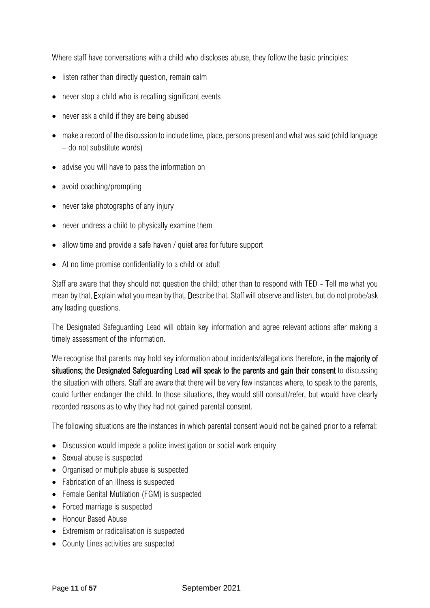Where staff have conversations with a child who discloses abuse, they follow the basic principles:

- listen rather than directly question, remain calm
- never stop a child who is recalling significant events
- never ask a child if they are being abused
- make a record of the discussion to include time, place, persons present and what was said (child language – do not substitute words)
- advise you will have to pass the information on
- avoid coaching/prompting
- never take photographs of any injury
- never undress a child to physically examine them
- allow time and provide a safe haven / quiet area for future support
- At no time promise confidentiality to a child or adult

Staff are aware that they should not question the child; other than to respond with TED - Tell me what you mean by that, Explain what you mean by that, Describe that. Staff will observe and listen, but do not probe/ask any leading questions.

The Designated Safeguarding Lead will obtain key information and agree relevant actions after making a timely assessment of the information.

We recognise that parents may hold key information about incidents/allegations therefore, in the majority of situations; the Designated Safeguarding Lead will speak to the parents and gain their consent to discussing the situation with others. Staff are aware that there will be very few instances where, to speak to the parents, could further endanger the child. In those situations, they would still consult/refer, but would have clearly recorded reasons as to why they had not gained parental consent.

The following situations are the instances in which parental consent would not be gained prior to a referral:

- Discussion would impede a police investigation or social work enquiry
- Sexual abuse is suspected
- Organised or multiple abuse is suspected
- Fabrication of an illness is suspected
- Female Genital Mutilation (FGM) is suspected
- Forced marriage is suspected
- Honour Based Abuse
- Extremism or radicalisation is suspected
- County Lines activities are suspected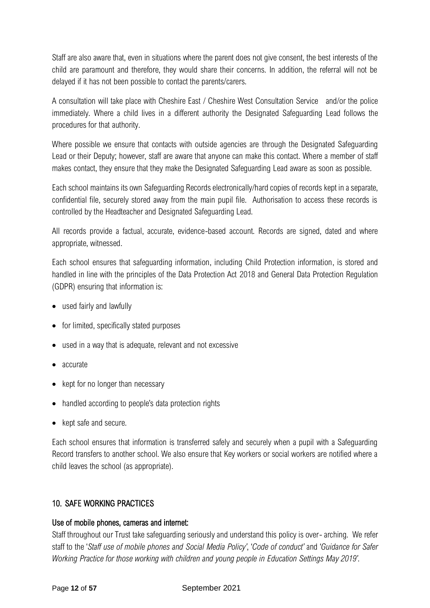Staff are also aware that, even in situations where the parent does not give consent, the best interests of the child are paramount and therefore, they would share their concerns. In addition, the referral will not be delayed if it has not been possible to contact the parents/carers.

A consultation will take place with Cheshire East / Cheshire West Consultation Service and/or the police immediately. Where a child lives in a different authority the Designated Safeguarding Lead follows the procedures for that authority.

Where possible we ensure that contacts with outside agencies are through the Designated Safeguarding Lead or their Deputy; however, staff are aware that anyone can make this contact. Where a member of staff makes contact, they ensure that they make the Designated Safeguarding Lead aware as soon as possible.

Each school maintains its own Safeguarding Records electronically/hard copies of records kept in a separate, confidential file, securely stored away from the main pupil file. Authorisation to access these records is controlled by the Headteacher and Designated Safeguarding Lead.

All records provide a factual, accurate, evidence-based account. Records are signed, dated and where appropriate, witnessed.

Each school ensures that safeguarding information, including Child Protection information, is stored and handled in line with the principles of the Data Protection Act 2018 and General Data Protection Regulation (GDPR) ensuring that information is:

- used fairly and lawfully
- for limited, specifically stated purposes
- used in a way that is adequate, relevant and not excessive
- accurate
- kept for no longer than necessary
- handled according to people's data protection rights
- kept safe and secure.

Each school ensures that information is transferred safely and securely when a pupil with a Safeguarding Record transfers to another school. We also ensure that Key workers or social workers are notified where a child leaves the school (as appropriate).

# <span id="page-12-0"></span>10. SAFE WORKING PRACTICES

#### Use of mobile phones, cameras and internet:

Staff throughout our Trust take safeguarding seriously and understand this policy is over- arching. We refer staff to the '*Staff use of mobile phones and Social Media Policy'*, '*Code of conduct'* and '*Guidance for Safer Working Practice for those working with children and young people in Education Settings May 2019'*.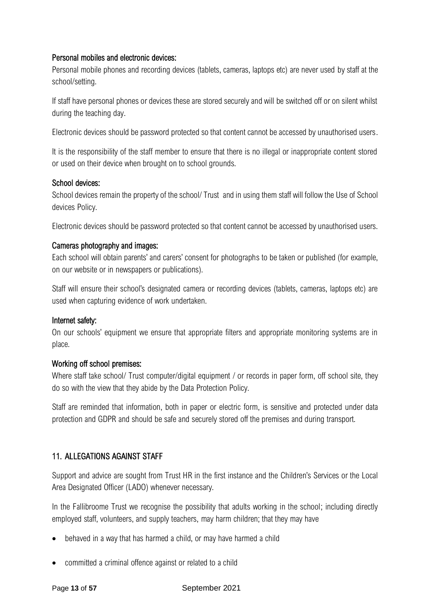#### Personal mobiles and electronic devices:

Personal mobile phones and recording devices (tablets, cameras, laptops etc) are never used by staff at the school/setting.

If staff have personal phones or devices these are stored securely and will be switched off or on silent whilst during the teaching day.

Electronic devices should be password protected so that content cannot be accessed by unauthorised users.

It is the responsibility of the staff member to ensure that there is no illegal or inappropriate content stored or used on their device when brought on to school grounds.

#### School devices:

School devices remain the property of the school/ Trust and in using them staff will follow the Use of School devices Policy.

Electronic devices should be password protected so that content cannot be accessed by unauthorised users.

#### Cameras photography and images:

Each school will obtain parents' and carers' consent for photographs to be taken or published (for example, on our website or in newspapers or publications).

Staff will ensure their school's designated camera or recording devices (tablets, cameras, laptops etc) are used when capturing evidence of work undertaken.

#### Internet safety:

On our schools' equipment we ensure that appropriate filters and appropriate monitoring systems are in place.

#### Working off school premises:

Where staff take school/ Trust computer/digital equipment / or records in paper form, off school site, they do so with the view that they abide by the Data Protection Policy.

Staff are reminded that information, both in paper or electric form, is sensitive and protected under data protection and GDPR and should be safe and securely stored off the premises and during transport.

#### <span id="page-13-0"></span>11. ALLEGATIONS AGAINST STAFF

Support and advice are sought from Trust HR in the first instance and the Children's Services or the Local Area Designated Officer (LADO) whenever necessary.

In the Fallibroome Trust we recognise the possibility that adults working in the school; including directly employed staff, volunteers, and supply teachers, may harm children; that they may have

- behaved in a way that has harmed a child, or may have harmed a child
- committed a criminal offence against or related to a child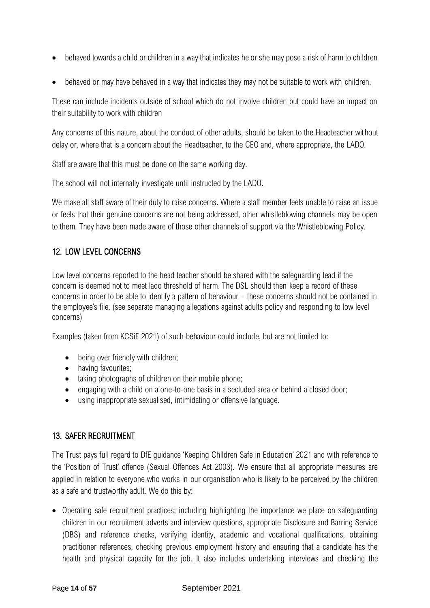- behaved towards a child or children in a way that indicates he or she may pose a risk of harm to children
- behaved or may have behaved in a way that indicates they may not be suitable to work with children.

These can include incidents outside of school which do not involve children but could have an impact on their suitability to work with children

Any concerns of this nature, about the conduct of other adults, should be taken to the Headteacher without delay or, where that is a concern about the Headteacher, to the CEO and, where appropriate, the LADO.

Staff are aware that this must be done on the same working day.

The school will not internally investigate until instructed by the LADO.

We make all staff aware of their duty to raise concerns. Where a staff member feels unable to raise an issue or feels that their genuine concerns are not being addressed, other whistleblowing channels may be open to them. They have been made aware of those other channels of support via the Whistleblowing Policy.

#### <span id="page-14-0"></span>12. LOW LEVEL CONCERNS

Low level concerns reported to the head teacher should be shared with the safeguarding lead if the concern is deemed not to meet lado threshold of harm. The DSL should then keep a record of these concerns in order to be able to identify a pattern of behaviour – these concerns should not be contained in the employee's file. (see separate managing allegations against adults policy and responding to low level concerns)

Examples (taken from KCSiE 2021) of such behaviour could include, but are not limited to:

- being over friendly with children;
- having favourites:
- taking photographs of children on their mobile phone;
- engaging with a child on a one-to-one basis in a secluded area or behind a closed door;
- using inappropriate sexualised, intimidating or offensive language.

#### <span id="page-14-1"></span>13. SAFER RECRUITMENT

The Trust pays full regard to DfE guidance 'Keeping Children Safe in Education' 2021 and with reference to the 'Position of Trust' offence (Sexual Offences Act 2003). We ensure that all appropriate measures are applied in relation to everyone who works in our organisation who is likely to be perceived by the children as a safe and trustworthy adult. We do this by:

• Operating safe recruitment practices; including highlighting the importance we place on safeguarding children in our recruitment adverts and interview questions, appropriate Disclosure and Barring Service (DBS) and reference checks, verifying identity, academic and vocational qualifications, obtaining practitioner references, checking previous employment history and ensuring that a candidate has the health and physical capacity for the job. It also includes undertaking interviews and checking the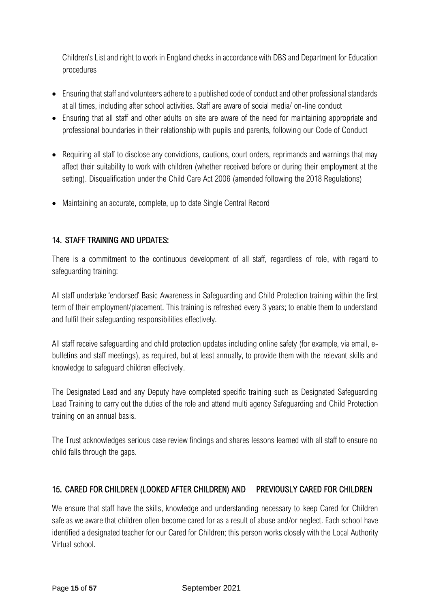Children's List and right to work in England checks in accordance with DBS and Department for Education procedures

- Ensuring that staff and volunteers adhere to a published code of conduct and other professional standards at all times, including after school activities. Staff are aware of social media/ on-line conduct
- Ensuring that all staff and other adults on site are aware of the need for maintaining appropriate and professional boundaries in their relationship with pupils and parents, following our Code of Conduct
- Requiring all staff to disclose any convictions, cautions, court orders, reprimands and warnings that may affect their suitability to work with children (whether received before or during their employment at the setting). Disqualification under the Child Care Act 2006 (amended following the 2018 Regulations)
- Maintaining an accurate, complete, up to date Single Central Record

#### <span id="page-15-0"></span>14. STAFF TRAINING AND UPDATES:

There is a commitment to the continuous development of all staff, regardless of role, with regard to safeguarding training:

All staff undertake 'endorsed' Basic Awareness in Safeguarding and Child Protection training within the first term of their employment/placement. This training is refreshed every 3 years; to enable them to understand and fulfil their safeguarding responsibilities effectively.

All staff receive safeguarding and child protection updates including online safety (for example, via email, ebulletins and staff meetings), as required, but at least annually, to provide them with the relevant skills and knowledge to safeguard children effectively.

The Designated Lead and any Deputy have completed specific training such as Designated Safeguarding Lead Training to carry out the duties of the role and attend multi agency Safeguarding and Child Protection training on an annual basis.

The Trust acknowledges serious case review findings and shares lessons learned with all staff to ensure no child falls through the gaps.

# <span id="page-15-1"></span>15. CARED FOR CHILDREN (LOOKED AFTER CHILDREN) AND PREVIOUSLY CARED FOR CHILDREN

We ensure that staff have the skills, knowledge and understanding necessary to keep Cared for Children safe as we aware that children often become cared for as a result of abuse and/or neglect. Each school have identified a designated teacher for our Cared for Children; this person works closely with the Local Authority Virtual school.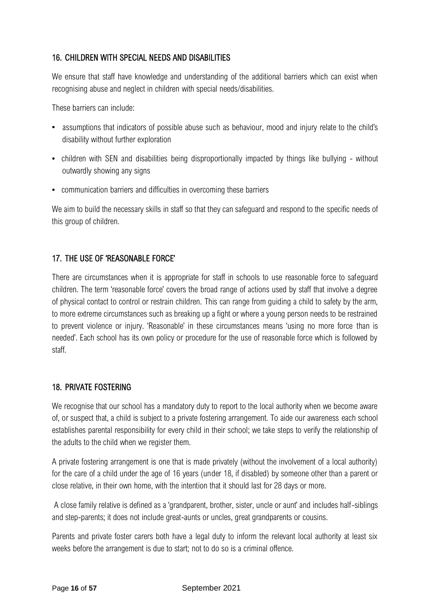#### <span id="page-16-0"></span>16. CHILDREN WITH SPECIAL NEEDS AND DISABILITIES

We ensure that staff have knowledge and understanding of the additional barriers which can exist when recognising abuse and neglect in children with special needs/disabilities.

These barriers can include:

- assumptions that indicators of possible abuse such as behaviour, mood and injury relate to the child's disability without further exploration
- children with SEN and disabilities being disproportionally impacted by things like bullying without outwardly showing any signs
- communication barriers and difficulties in overcoming these barriers

We aim to build the necessary skills in staff so that they can safeguard and respond to the specific needs of this group of children.

#### <span id="page-16-1"></span>17. THE USE OF 'REASONABLE FORCE'

There are circumstances when it is appropriate for staff in schools to use reasonable force to safeguard children. The term 'reasonable force' covers the broad range of actions used by staff that involve a degree of physical contact to control or restrain children. This can range from guiding a child to safety by the arm, to more extreme circumstances such as breaking up a fight or where a young person needs to be restrained to prevent violence or injury. 'Reasonable' in these circumstances means 'using no more force than is needed'. Each school has its own policy or procedure for the use of reasonable force which is followed by staff.

#### <span id="page-16-2"></span>18. PRIVATE FOSTERING

We recognise that our school has a mandatory duty to report to the local authority when we become aware of, or suspect that, a child is subject to a private fostering arrangement. To aide our awareness each school establishes parental responsibility for every child in their school; we take steps to verify the relationship of the adults to the child when we register them.

A private fostering arrangement is one that is made privately (without the involvement of a local authority) for the care of a child under the age of 16 years (under 18, if disabled) by someone other than a parent or close relative, in their own home, with the intention that it should last for 28 days or more.

A close family relative is defined as a 'grandparent, brother, sister, uncle or aunt' and includes half-siblings and step-parents; it does not include great-aunts or uncles, great grandparents or cousins.

Parents and private foster carers both have a legal duty to inform the relevant local authority at least six weeks before the arrangement is due to start; not to do so is a criminal offence.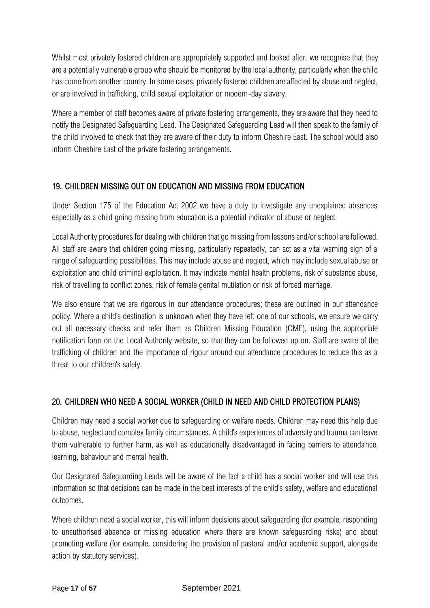Whilst most privately fostered children are appropriately supported and looked after, we recognise that they are a potentially vulnerable group who should be monitored by the local authority, particularly when the child has come from another country. In some cases, privately fostered children are affected by abuse and neglect, or are involved in trafficking, child sexual exploitation or modern-day slavery.

Where a member of staff becomes aware of private fostering arrangements, they are aware that they need to notify the Designated Safeguarding Lead. The Designated Safeguarding Lead will then speak to the family of the child involved to check that they are aware of their duty to inform Cheshire East. The school would also inform Cheshire East of the private fostering arrangements.

#### <span id="page-17-0"></span>19. CHILDREN MISSING OUT ON EDUCATION AND MISSING FROM EDUCATION

Under Section 175 of the Education Act 2002 we have a duty to investigate any unexplained absences especially as a child going missing from education is a potential indicator of abuse or neglect.

Local Authority procedures for dealing with children that go missing from lessons and/or school are followed. All staff are aware that children going missing, particularly repeatedly, can act as a vital warning sign of a range of safeguarding possibilities. This may include abuse and neglect, which may include sexual abuse or exploitation and child criminal exploitation. It may indicate mental health problems, risk of substance abuse, risk of travelling to conflict zones, risk of female genital mutilation or risk of forced marriage.

We also ensure that we are rigorous in our attendance procedures; these are outlined in our attendance policy. Where a child's destination is unknown when they have left one of our schools, we ensure we carry out all necessary checks and refer them as Children Missing Education (CME), using the appropriate notification form on the Local Authority website, so that they can be followed up on. Staff are aware of the trafficking of children and the importance of rigour around our attendance procedures to reduce this as a threat to our children's safety.

# <span id="page-17-1"></span>20. CHILDREN WHO NEED A SOCIAL WORKER (CHILD IN NEED AND CHILD PROTECTION PLANS)

Children may need a social worker due to safeguarding or welfare needs. Children may need this help due to abuse, neglect and complex family circumstances. A child's experiences of adversity and trauma can leave them vulnerable to further harm, as well as educationally disadvantaged in facing barriers to attendance, learning, behaviour and mental health.

Our Designated Safeguarding Leads will be aware of the fact a child has a social worker and will use this information so that decisions can be made in the best interests of the child's safety, welfare and educational outcomes.

Where children need a social worker, this will inform decisions about safeguarding (for example, responding to unauthorised absence or missing education where there are known safeguarding risks) and about promoting welfare (for example, considering the provision of pastoral and/or academic support, alongside action by statutory services).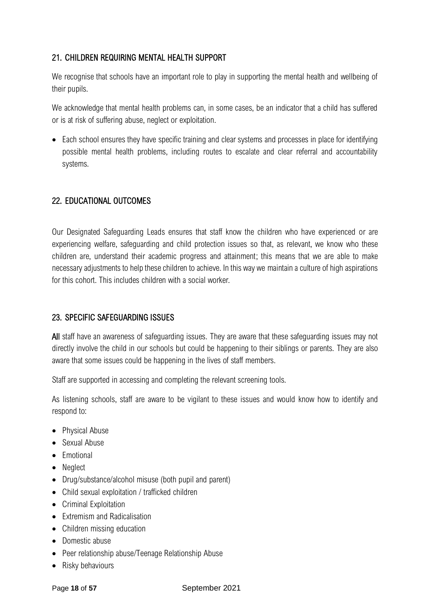# <span id="page-18-0"></span>21. CHILDREN REQUIRING MENTAL HEALTH SUPPORT

We recognise that schools have an important role to play in supporting the mental health and wellbeing of their pupils.

We acknowledge that mental health problems can, in some cases, be an indicator that a child has suffered or is at risk of suffering abuse, neglect or exploitation.

• Each school ensures they have specific training and clear systems and processes in place for identifying possible mental health problems, including routes to escalate and clear referral and accountability systems.

#### <span id="page-18-1"></span>22. EDUCATIONAL OUTCOMES

Our Designated Safeguarding Leads ensures that staff know the children who have experienced or are experiencing welfare, safeguarding and child protection issues so that, as relevant, we know who these children are, understand their academic progress and attainment; this means that we are able to make necessary adjustments to help these children to achieve. In this way we maintain a culture of high aspirations for this cohort. This includes children with a social worker*.*

#### <span id="page-18-2"></span>23. SPECIFIC SAFEGUARDING ISSUES

All staff have an awareness of safeguarding issues. They are aware that these safeguarding issues may not directly involve the child in our schools but could be happening to their siblings or parents. They are also aware that some issues could be happening in the lives of staff members.

Staff are supported in accessing and completing the relevant screening tools.

As listening schools, staff are aware to be vigilant to these issues and would know how to identify and respond to:

- Physical Abuse
- Sexual Abuse
- Emotional
- Neglect
- Drug/substance/alcohol misuse (both pupil and parent)
- Child sexual exploitation / trafficked children
- Criminal Exploitation
- Extremism and Radicalisation
- Children missing education
- Domestic abuse
- Peer relationship abuse/Teenage Relationship Abuse
- Risky behaviours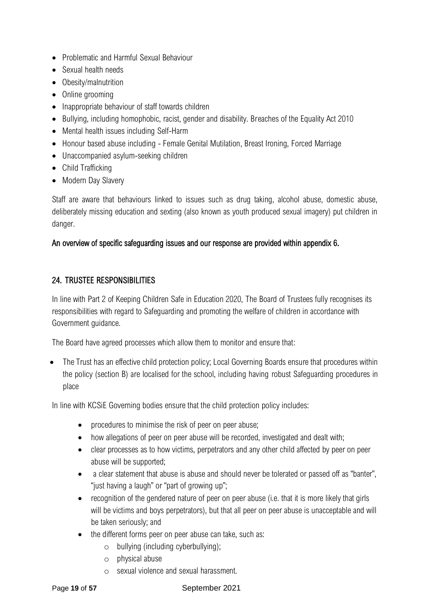- Problematic and Harmful Sexual Behaviour
- Sexual health needs
- Obesity/malnutrition
- Online grooming
- Inappropriate behaviour of staff towards children
- Bullying, including homophobic, racist, gender and disability. Breaches of the Equality Act 2010
- Mental health issues including Self-Harm
- Honour based abuse including Female Genital Mutilation, Breast Ironing, Forced Marriage
- Unaccompanied asylum-seeking children
- Child Trafficking
- Modern Day Slavery

Staff are aware that behaviours linked to issues such as drug taking, alcohol abuse, domestic abuse, deliberately missing education and sexting (also known as youth produced sexual imagery) put children in danger.

#### An overview of specific safeguarding issues and our response are provided within appendix 6.

#### <span id="page-19-0"></span>24. TRUSTEE RESPONSIBILITIES

In line with Part 2 of Keeping Children Safe in Education 2020, The Board of Trustees fully recognises its responsibilities with regard to Safeguarding and promoting the welfare of children in accordance with Government guidance.

The Board have agreed processes which allow them to monitor and ensure that:

• The Trust has an effective child protection policy; Local Governing Boards ensure that procedures within the policy (section B) are localised for the school, including having robust Safeguarding procedures in place

In line with KCSiE Governing bodies ensure that the child protection policy includes:

- procedures to minimise the risk of peer on peer abuse;
- how allegations of peer on peer abuse will be recorded, investigated and dealt with;
- clear processes as to how victims, perpetrators and any other child affected by peer on peer abuse will be supported;
- a clear statement that abuse is abuse and should never be tolerated or passed off as "banter", "just having a laugh" or "part of growing up";
- recognition of the gendered nature of peer on peer abuse (i.e. that it is more likely that girls will be victims and boys perpetrators), but that all peer on peer abuse is unacceptable and will be taken seriously; and
- the different forms peer on peer abuse can take, such as:
	- o bullying (including cyberbullying);
	- o physical abuse
	- o sexual violence and sexual harassment.

#### Page **19** of **57** September 2021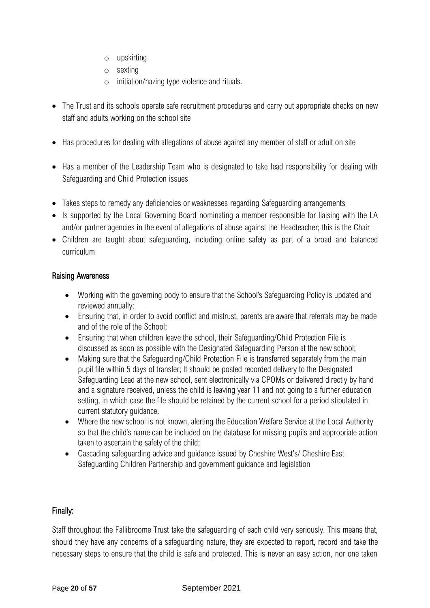- o upskirting
- o sexting
- o initiation/hazing type violence and rituals.
- The Trust and its schools operate safe recruitment procedures and carry out appropriate checks on new staff and adults working on the school site
- Has procedures for dealing with allegations of abuse against any member of staff or adult on site
- Has a member of the Leadership Team who is designated to take lead responsibility for dealing with Safeguarding and Child Protection issues
- Takes steps to remedy any deficiencies or weaknesses regarding Safeguarding arrangements
- Is supported by the Local Governing Board nominating a member responsible for liaising with the LA and/or partner agencies in the event of allegations of abuse against the Headteacher; this is the Chair
- Children are taught about safeguarding, including online safety as part of a broad and balanced curriculum

#### Raising Awareness

- Working with the governing body to ensure that the School's Safeguarding Policy is updated and reviewed annually;
- Ensuring that, in order to avoid conflict and mistrust, parents are aware that referrals may be made and of the role of the School;
- Ensuring that when children leave the school, their Safeguarding/Child Protection File is discussed as soon as possible with the Designated Safeguarding Person at the new school;
- Making sure that the Safeguarding/Child Protection File is transferred separately from the main pupil file within 5 days of transfer; It should be posted recorded delivery to the Designated Safeguarding Lead at the new school, sent electronically via CPOMs or delivered directly by hand and a signature received, unless the child is leaving year 11 and not going to a further education setting, in which case the file should be retained by the current school for a period stipulated in current statutory guidance.
- Where the new school is not known, alerting the Education Welfare Service at the Local Authority so that the child's name can be included on the database for missing pupils and appropriate action taken to ascertain the safety of the child;
- Cascading safeguarding advice and guidance issued by Cheshire West's/ Cheshire East Safeguarding Children Partnership and government guidance and legislation

#### Finally:

Staff throughout the Fallibroome Trust take the safeguarding of each child very seriously. This means that, should they have any concerns of a safeguarding nature, they are expected to report, record and take the necessary steps to ensure that the child is safe and protected. This is never an easy action, nor one taken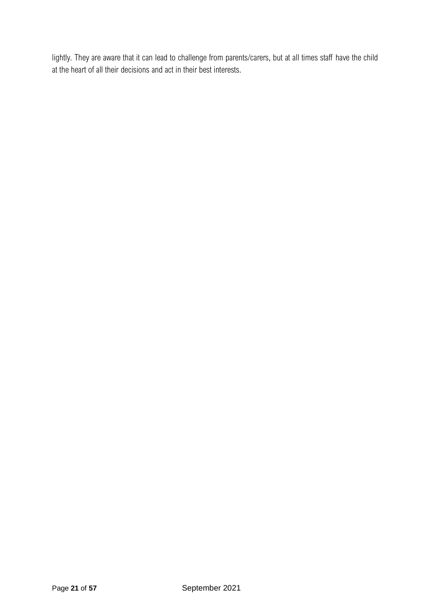lightly. They are aware that it can lead to challenge from parents/carers, but at all times staff have the child at the heart of all their decisions and act in their best interests.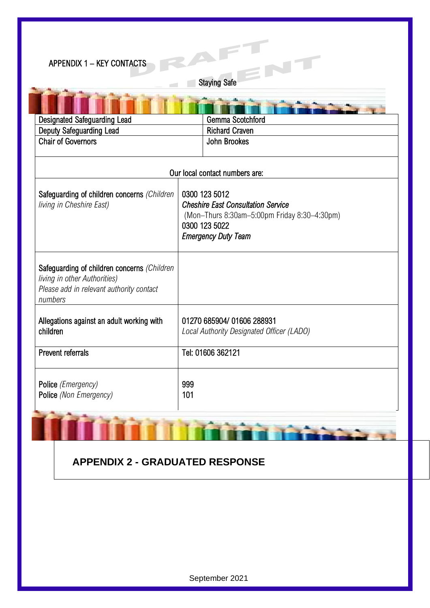<span id="page-22-0"></span>

| <b>APPENDIX 1 - KEY CONTACTS</b>                                                                                                   | RA                                                                                                                                                        |  |  |
|------------------------------------------------------------------------------------------------------------------------------------|-----------------------------------------------------------------------------------------------------------------------------------------------------------|--|--|
|                                                                                                                                    | <b>Staying Safe</b>                                                                                                                                       |  |  |
|                                                                                                                                    |                                                                                                                                                           |  |  |
| <b>Designated Safeguarding Lead</b>                                                                                                | Gemma Scotchford                                                                                                                                          |  |  |
| <b>Deputy Safeguarding Lead</b>                                                                                                    | <b>Richard Craven</b>                                                                                                                                     |  |  |
| <b>Chair of Governors</b>                                                                                                          | <b>John Brookes</b>                                                                                                                                       |  |  |
|                                                                                                                                    |                                                                                                                                                           |  |  |
|                                                                                                                                    | Our local contact numbers are:                                                                                                                            |  |  |
| Safeguarding of children concerns (Children<br>living in Cheshire East)                                                            | 0300 123 5012<br><b>Cheshire East Consultation Service</b><br>(Mon-Thurs 8:30am-5:00pm Friday 8:30-4:30pm)<br>0300 123 5022<br><b>Emergency Duty Team</b> |  |  |
| Safeguarding of children concerns (Children<br>living in other Authorities)<br>Please add in relevant authority contact<br>numbers |                                                                                                                                                           |  |  |
| Allegations against an adult working with<br>children                                                                              | 01270 685904/ 01606 288931<br>Local Authority Designated Officer (LADO)                                                                                   |  |  |
| <b>Prevent referrals</b>                                                                                                           | Tel: 01606 362121                                                                                                                                         |  |  |
| Police (Emergency)<br>Police (Non Emergency)                                                                                       | 999<br>101                                                                                                                                                |  |  |

# **APPENDIX 2 - GRADUATED RESPONSE**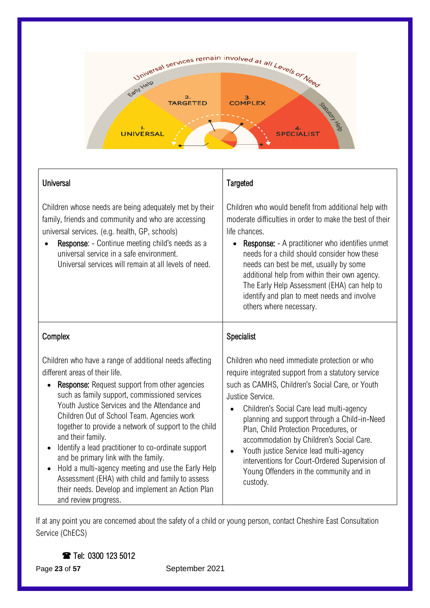

| Universal |
|-----------|
|           |

Children whose needs are being adequately met by their family, friends and community and who are accessing universal services. (e.g. health, GP, schools)

Response: - Continue meeting child's needs as a universal service in a safe environment. Universal services will remain at all levels of need.

# **Targeted**

Children who would benefit from additional help with moderate difficulties in order to make the best of their life chances.

• Response: - A practitioner who identifies unmet needs for a child should consider how these needs can best be met, usually by some additional help from within their own agency. The Early Help Assessment (EHA) can help to identify and plan to meet needs and involve others where necessary.

# Complex

Children who have a range of additional needs affecting different areas of their life.

- Response: Request support from other agencies such as family support, commissioned services Youth Justice Services and the Attendance and Children Out of School Team. Agencies work together to provide a network of support to the child and their family.
- Identify a lead practitioner to co-ordinate support and be primary link with the family.
- Hold a multi-agency meeting and use the Early Help Assessment (EHA) with child and family to assess their needs. Develop and implement an Action Plan and review progress.

# **Specialist**

Children who need immediate protection or who require integrated support from a statutory service such as CAMHS, Children's Social Care, or Youth Justice Service.

- Children's Social Care lead multi-agency planning and support through a Child-in-Need Plan, Child Protection Procedures, or accommodation by Children's Social Care.
- Youth justice Service lead multi-agency interventions for Court-Ordered Supervision of Young Offenders in the community and in custody.

If at any point you are concerned about the safety of a child or young person, contact Cheshire East Consultation Service (ChECS)

Tel: 0300 123 5012

Page 23 of 57 September 2021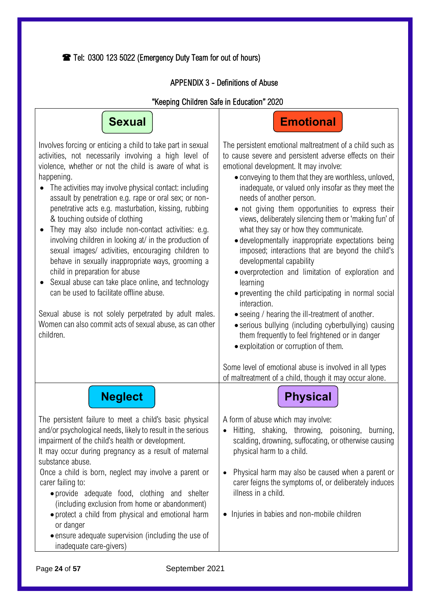<span id="page-24-0"></span>Tel: 0300 123 5022 (Emergency Duty Team for out of hours)

#### APPENDIX 3 - Definitions of Abuse

#### "Keeping Children Safe in Education" 2020



Involves forcing or enticing a child to take part in sexual activities, not necessarily involving a high level of violence, whether or not the child is aware of what is happening.

- The activities may involve physical contact: including assault by penetration e.g. rape or oral sex; or nonpenetrative acts e.g. masturbation, kissing, rubbing & touching outside of clothing
- They may also include non-contact activities: e.g. involving children in looking at/ in the production of sexual images/ activities, encouraging children to behave in sexually inappropriate ways, grooming a child in preparation for abuse
- Sexual abuse can take place online, and technology can be used to facilitate offline abuse.

Sexual abuse is not solely perpetrated by adult males. Women can also commit acts of sexual abuse, as can other children.

# **Emotional**

The persistent emotional maltreatment of a child such as **se** to cause severe and persistent adverse effects on their emotional development. It may involve:

- conveying to them that they are worthless, unloved, inadequate, or valued only insofar as they meet the needs of another person.
- not giving them opportunities to express their views, deliberately silencing them or 'making fun' of what they say or how they communicate.
- developmentally inappropriate expectations being imposed; interactions that are beyond the child's developmental capability
- overprotection and limitation of exploration and learning
- preventing the child participating in normal social interaction.
- seeing / hearing the ill-treatment of another.
- serious bullying (including cyberbullying) causing them frequently to feel frightened or in danger
- exploitation or corruption of them.

A form of abuse which may involve:

physical harm to a child.

illness in a child.

Some level of emotional abuse is involved in all types of maltreatment of a child, though it may occur alone.

• Hitting, shaking, throwing, poisoning, burning, scalding, drowning, suffocating, or otherwise causing

• Physical harm may also be caused when a parent or carer feigns the symptoms of, or deliberately induces

• Injuries in babies and non-mobile children

**Neglect Physical Physical** 

The persistent failure to meet a child's basic physical and/or psychological needs, likely to result in the serious impairment of the child's health or development.

It may occur during pregnancy as a result of maternal substance abuse.

Once a child is born, neglect may involve a parent or carer failing to:

- provide adequate food, clothing and shelter (including exclusion from home or abandonment)
- protect a child from physical and emotional harm or danger
- ensure adequate supervision (including the use of inadequate care-givers)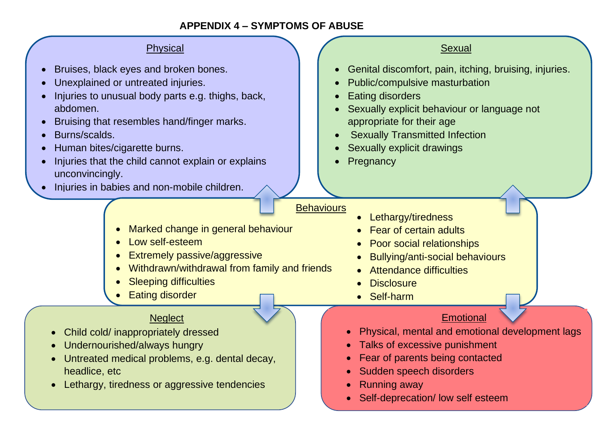# **APPENDIX 4 – SYMPTOMS OF ABUSE**

# Physical

- Bruises, black eyes and broken bones.
- Unexplained or untreated injuries.
- Injuries to unusual body parts e.g. thighs, back, abdomen.
- Bruising that resembles hand/finger marks.
- Burns/scalds.
- Human bites/cigarette burns.
- Injuries that the child cannot explain or explains unconvincingly.
- Injuries in babies and non-mobile children.

# Sexual

- Genital discomfort, pain, itching, bruising, injuries.
- Public/compulsive masturbation
- **Eating disorders**
- Sexually explicit behaviour or language not appropriate for their age
- **Sexually Transmitted Infection**
- Sexually explicit drawings
- **Pregnancy**

# **Behaviours**

- Lethargy/tiredness
	- Fear of certain adults
	- Poor social relationships
	- Bullying/anti-social behaviours
	- Attendance difficulties
	- **Disclosure**
	- Self-harm

# **Emotional**

- Physical, mental and emotional development lags
- Talks of excessive punishment
- Fear of parents being contacted
- Sudden speech disorders
- Running away
- Self-deprecation/ low self esteem

# • Marked change in general behaviour

- Low self-esteem
- Extremely passive/aggressive
- Withdrawn/withdrawal from family and friends
- **Sleeping difficulties**
- **Eating disorder**

# **Neglect**

- Child cold/ inappropriately dressed
- Undernourished/always hungry
- Untreated medical problems, e.g. dental decay, headlice, etc
- **•** Lethargy, tiredness or aggressive tendencies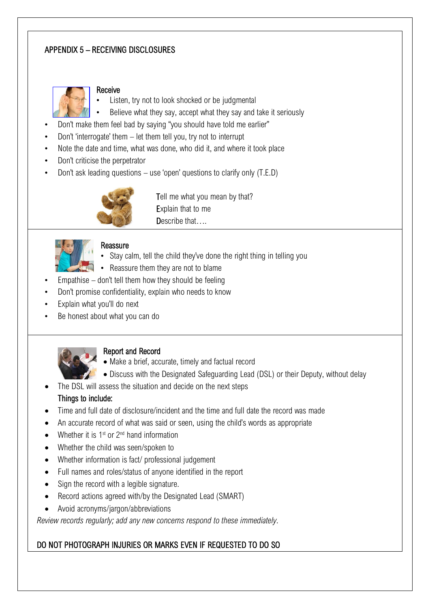# <span id="page-27-0"></span>APPENDIX 5 – RECEIVING DISCLOSURES



#### Receive

- Listen, try not to look shocked or be judgmental
- Believe what they say, accept what they say and take it seriously
- Don't make them feel bad by saying "you should have told me earlier"
- Don't 'interrogate' them let them tell you, try not to interrupt
- Note the date and time, what was done, who did it, and where it took place
- Don't criticise the perpetrator
- Don't ask leading questions use 'open' questions to clarify only (T.E.D)



Tell me what you mean by that? Explain that to me Describe that….

# **Reassure**

- Stay calm, tell the child they've done the right thing in telling you
- Reassure them they are not to blame
- Empathise  $-$  don't tell them how they should be feeling
- Don't promise confidentiality, explain who needs to know
- Explain what you'll do next
- Be honest about what you can do



#### Report and Record

- Make a brief, accurate, timely and factual record
- Discuss with the Designated Safeguarding Lead (DSL) or their Deputy, without delay
- The DSL will assess the situation and decide on the next steps

# Things to include:

- Time and full date of disclosure/incident and the time and full date the record was made
- An accurate record of what was said or seen, using the child's words as appropriate
- Whether it is  $1<sup>st</sup>$  or  $2<sup>nd</sup>$  hand information
- Whether the child was seen/spoken to
- Whether information is fact/ professional judgement
- Full names and roles/status of anyone identified in the report
- Sign the record with a legible signature.
- Record actions agreed with/by the Designated Lead (SMART)
- Avoid acronyms/jargon/abbreviations

*Review records regularly; add any new concerns respond to these immediately*.

# DO NOT PHOTOGRAPH INJURIES OR MARKS EVEN IF REQUESTED TO DO SO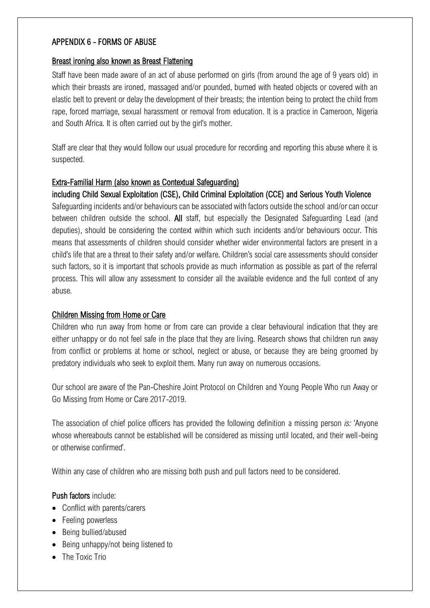#### <span id="page-28-0"></span>APPENDIX 6 - FORMS OF ABUSE

#### Breast ironing also known as Breast Flattening

Staff have been made aware of an act of abuse performed on girls (from around the age of 9 years old) in which their breasts are ironed, massaged and/or pounded, burned with heated objects or covered with an elastic belt to prevent or delay the development of their breasts; the intention being to protect the child from rape, forced marriage, sexual harassment or removal from education. It is a practice in Cameroon, Nigeria and South Africa. It is often carried out by the girl's mother.

Staff are clear that they would follow our usual procedure for recording and reporting this abuse where it is suspected.

#### Extra-Familial Harm (also known as Contextual Safeguarding)

#### including Child Sexual Exploitation (CSE), Child Criminal Exploitation (CCE) and Serious Youth Violence

Safeguarding incidents and/or behaviours can be associated with factors outside the school and/or can occur between children outside the school. All staff, but especially the Designated Safeguarding Lead (and deputies), should be considering the context within which such incidents and/or behaviours occur. This means that assessments of children should consider whether wider environmental factors are present in a child's life that are a threat to their safety and/or welfare. Children's social care assessments should consider such factors, so it is important that schools provide as much information as possible as part of the referral process. This will allow any assessment to consider all the available evidence and the full context of any abuse.

#### Children Missing from Home or Care

Children who run away from home or from care can provide a clear behavioural indication that they are either unhappy or do not feel safe in the place that they are living. Research shows that children run away from conflict or problems at home or school, neglect or abuse, or because they are being groomed by predatory individuals who seek to exploit them. Many run away on numerous occasions.

Our school are aware of the Pan-Cheshire Joint Protocol on Children and Young People Who run Away or Go Missing from Home or Care 2017-2019.

The association of chief police officers has provided the following definition a missing person *is:* 'Anyone whose whereabouts cannot be established will be considered as missing until located, and their well-being or otherwise confirmed'.

Within any case of children who are missing both push and pull factors need to be considered.

#### Push factors include:

- Conflict with parents/carers
- Feeling powerless
- Being bullied/abused
- Being unhappy/not being listened to
- The Toxic Trio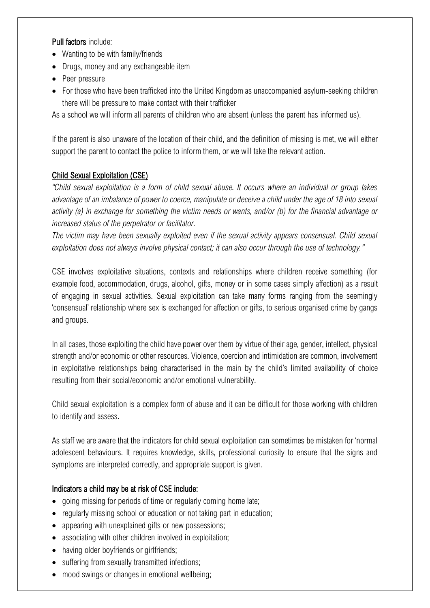#### Pull factors include:

- Wanting to be with family/friends
- Drugs, money and any exchangeable item
- Peer pressure
- For those who have been trafficked into the United Kingdom as unaccompanied asylum-seeking children there will be pressure to make contact with their trafficker

As a school we will inform all parents of children who are absent (unless the parent has informed us).

If the parent is also unaware of the location of their child, and the definition of missing is met, we will either support the parent to contact the police to inform them, or we will take the relevant action.

# Child Sexual Exploitation (CSE)

*"Child sexual exploitation is a form of child sexual abuse. It occurs where an individual or group takes advantage of an imbalance of power to coerce, manipulate or deceive a child under the age of 18 into sexual activity (a) in exchange for something the victim needs or wants, and/or (b) for the financial advantage or increased status of the perpetrator or facilitator.* 

*The victim may have been sexually exploited even if the sexual activity appears consensual. Child sexual exploitation does not always involve physical contact; it can also occur through the use of technology."*

CSE involves exploitative situations, contexts and relationships where children receive something (for example food, accommodation, drugs, alcohol, gifts, money or in some cases simply affection) as a result of engaging in sexual activities. Sexual exploitation can take many forms ranging from the seemingly 'consensual' relationship where sex is exchanged for affection or gifts, to serious organised crime by gangs and groups.

In all cases, those exploiting the child have power over them by virtue of their age, gender, intellect, physical strength and/or economic or other resources. Violence, coercion and intimidation are common, involvement in exploitative relationships being characterised in the main by the child's limited availability of choice resulting from their social/economic and/or emotional vulnerability.

Child sexual exploitation is a complex form of abuse and it can be difficult for those working with children to identify and assess.

As staff we are aware that the indicators for child sexual exploitation can sometimes be mistaken for 'normal adolescent behaviours. It requires knowledge, skills, professional curiosity to ensure that the signs and symptoms are interpreted correctly, and appropriate support is given.

# Indicators a child may be at risk of CSE include:

- going missing for periods of time or regularly coming home late;
- regularly missing school or education or not taking part in education;
- appearing with unexplained gifts or new possessions;
- associating with other children involved in exploitation;
- having older boyfriends or girlfriends;
- suffering from sexually transmitted infections;
- mood swings or changes in emotional wellbeing;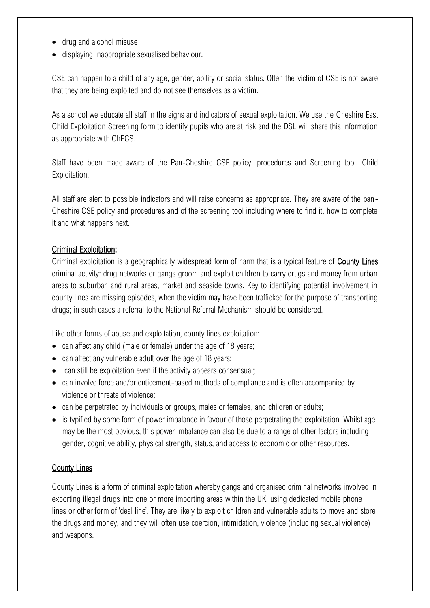- drug and alcohol misuse
- displaying inappropriate sexualised behaviour.

CSE can happen to a child of any age, gender, ability or social status. Often the victim of CSE is not aware that they are being exploited and do not see themselves as a victim.

As a school we educate all staff in the signs and indicators of sexual exploitation. We use the Cheshire East Child Exploitation Screening form to identify pupils who are at risk and the DSL will share this information as appropriate with ChECS.

Staff have been made aware of the Pan-Cheshire CSE policy, procedures and Screening tool. [Child](http://www.cheshireeastlscb.org.uk/professionals/child-sexual-exploitation.aspx)  [Exploitation.](http://www.cheshireeastlscb.org.uk/professionals/child-sexual-exploitation.aspx)

All staff are alert to possible indicators and will raise concerns as appropriate. They are aware of the pan-Cheshire CSE policy and procedures and of the screening tool including where to find it, how to complete it and what happens next.

#### Criminal Exploitation:

Criminal exploitation is a geographically widespread form of harm that is a typical feature of County Lines criminal activity: drug networks or gangs groom and exploit children to carry drugs and money from urban areas to suburban and rural areas, market and seaside towns. Key to identifying potential involvement in county lines are missing episodes, when the victim may have been trafficked for the purpose of transporting drugs; in such cases a referral to the National Referral Mechanism should be considered.

Like other forms of abuse and exploitation, county lines exploitation:

- can affect any child (male or female) under the age of 18 years;
- can affect any vulnerable adult over the age of 18 years;
- can still be exploitation even if the activity appears consensual;
- can involve force and/or enticement-based methods of compliance and is often accompanied by violence or threats of violence;
- can be perpetrated by individuals or groups, males or females, and children or adults;
- is typified by some form of power imbalance in favour of those perpetrating the exploitation. Whilst age may be the most obvious, this power imbalance can also be due to a range of other factors including gender, cognitive ability, physical strength, status, and access to economic or other resources.

# **County Lines**

County Lines is a form of criminal exploitation whereby gangs and organised criminal networks involved in exporting illegal drugs into one or more importing areas within the UK, using dedicated mobile phone lines or other form of 'deal line'. They are likely to exploit children and vulnerable adults to move and store the drugs and money, and they will often use coercion, intimidation, violence (including sexual violence) and weapons.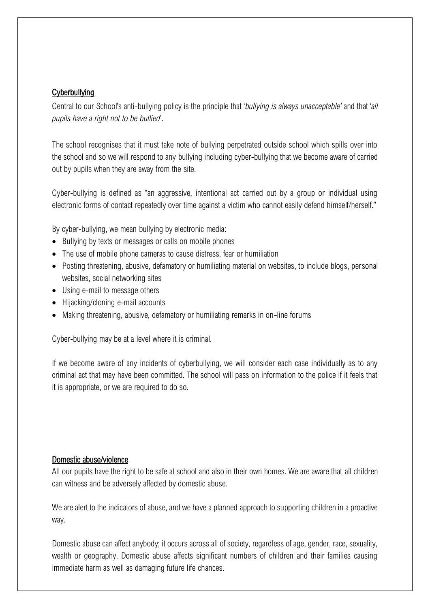#### **Cyberbullying**

Central to our School's anti-bullying policy is the principle that '*bullying is always unacceptable'* and that '*all pupils have a right not to be bullied*'.

The school recognises that it must take note of bullying perpetrated outside school which spills over into the school and so we will respond to any bullying including cyber-bullying that we become aware of carried out by pupils when they are away from the site.

Cyber-bullying is defined as "an aggressive, intentional act carried out by a group or individual using electronic forms of contact repeatedly over time against a victim who cannot easily defend himself/herself."

By cyber-bullying, we mean bullying by electronic media:

- Bullying by texts or messages or calls on mobile phones
- The use of mobile phone cameras to cause distress, fear or humiliation
- Posting threatening, abusive, defamatory or humiliating material on websites, to include blogs, personal websites, social networking sites
- Using e-mail to message others
- Hijacking/cloning e-mail accounts
- Making threatening, abusive, defamatory or humiliating remarks in on-line forums

Cyber-bullying may be at a level where it is criminal.

If we become aware of any incidents of cyberbullying, we will consider each case individually as to any criminal act that may have been committed. The school will pass on information to the police if it feels that it is appropriate, or we are required to do so.

#### Domestic abuse/violence

All our pupils have the right to be safe at school and also in their own homes. We are aware that all children can witness and be adversely affected by domestic abuse.

We are alert to the indicators of abuse, and we have a planned approach to supporting children in a proactive way.

Domestic abuse can affect anybody; it occurs across all of society, regardless of age, gender, race, sexuality, wealth or geography. Domestic abuse affects significant numbers of children and their families causing immediate harm as well as damaging future life chances.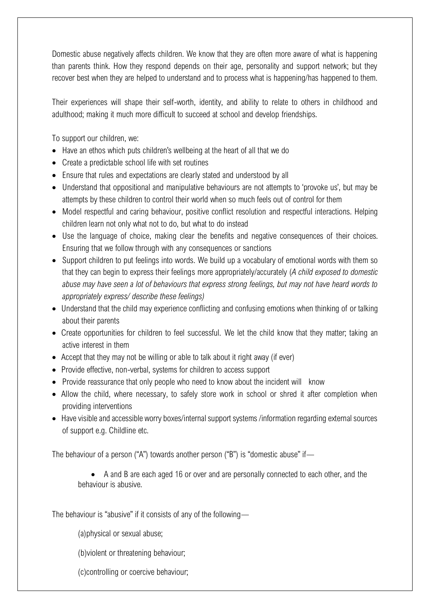Domestic abuse negatively affects children. We know that they are often more aware of what is happening than parents think. How they respond depends on their age, personality and support network; but they recover best when they are helped to understand and to process what is happening/has happened to them.

Their experiences will shape their self-worth, identity, and ability to relate to others in childhood and adulthood; making it much more difficult to succeed at school and develop friendships.

To support our children, we:

- Have an ethos which puts children's wellbeing at the heart of all that we do
- Create a predictable school life with set routines
- Ensure that rules and expectations are clearly stated and understood by all
- Understand that oppositional and manipulative behaviours are not attempts to 'provoke us', but may be attempts by these children to control their world when so much feels out of control for them
- Model respectful and caring behaviour, positive conflict resolution and respectful interactions. Helping children learn not only what not to do, but what to do instead
- Use the language of choice, making clear the benefits and negative consequences of their choices. Ensuring that we follow through with any consequences or sanctions
- Support children to put feelings into words. We build up a vocabulary of emotional words with them so that they can begin to express their feelings more appropriately/accurately (*A child exposed to domestic abuse may have seen a lot of behaviours that express strong feelings, but may not have heard words to appropriately express/ describe these feelings)*
- Understand that the child may experience conflicting and confusing emotions when thinking of or talking about their parents
- Create opportunities for children to feel successful. We let the child know that they matter; taking an active interest in them
- Accept that they may not be willing or able to talk about it right away (if ever)
- Provide effective, non-verbal, systems for children to access support
- Provide reassurance that only people who need to know about the incident will know
- Allow the child, where necessary, to safely store work in school or shred it after completion when providing interventions
- Have visible and accessible worry boxes/internal support systems /information regarding external sources of support e.g. Childline etc.

The behaviour of a person ("A") towards another person ("B") is "domestic abuse" if—

• A and B are each aged 16 or over and are personally connected to each other, and the behaviour is abusive.

The behaviour is "abusive" if it consists of any of the following—

(a)physical or sexual abuse;

(b)violent or threatening behaviour;

(c)controlling or coercive behaviour;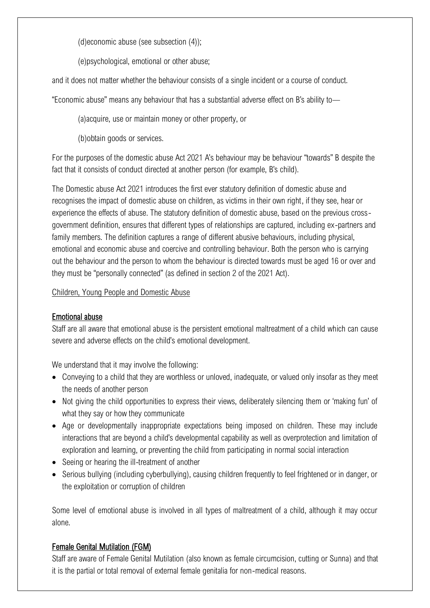(d)economic abuse (see subsection (4));

(e)psychological, emotional or other abuse;

and it does not matter whether the behaviour consists of a single incident or a course of conduct.

"Economic abuse" means any behaviour that has a substantial adverse effect on B's ability to—

(a)acquire, use or maintain money or other property, or

(b)obtain goods or services.

For the purposes of the domestic abuse Act 2021 A's behaviour may be behaviour "towards" B despite the fact that it consists of conduct directed at another person (for example, B's child).

The Domestic abuse Act 2021 introduces the first ever statutory definition of domestic abuse and recognises the impact of domestic abuse on children, as victims in their own right, if they see, hear or experience the effects of abuse. The statutory definition of domestic abuse, based on the previous crossgovernment definition, ensures that different types of relationships are captured, including ex-partners and family members. The definition captures a range of different abusive behaviours, including physical, emotional and economic abuse and coercive and controlling behaviour. Both the person who is carrying out the behaviour and the person to whom the behaviour is directed towards must be aged 16 or over and they must be "personally connected" (as defined in section 2 of the 2021 Act).

#### [Children, Young People and Domestic Abuse](https://www.cheshireeast.gov.uk/livewell/staying-safe/domestic-abuse-and-sexual-violence/domestic-abuse-tools-and-resources.aspx)

# Emotional abuse

Staff are all aware that emotional abuse is the persistent emotional maltreatment of a child which can cause severe and adverse effects on the child's emotional development.

We understand that it may involve the following:

- Conveying to a child that they are worthless or unloved, inadequate, or valued only insofar as they meet the needs of another person
- Not giving the child opportunities to express their views, deliberately silencing them or 'making fun' of what they say or how they communicate
- Age or developmentally inappropriate expectations being imposed on children. These may include interactions that are beyond a child's developmental capability as well as overprotection and limitation of exploration and learning, or preventing the child from participating in normal social interaction
- Seeing or hearing the ill-treatment of another
- Serious bullying (including cyberbullying), causing children frequently to feel frightened or in danger, or the exploitation or corruption of children

Some level of emotional abuse is involved in all types of maltreatment of a child, although it may occur alone.

# Female Genital Mutilation (FGM)

Staff are aware of Female Genital Mutilation (also known as female circumcision, cutting or Sunna) and that it is the partial or total removal of external female genitalia for non-medical reasons.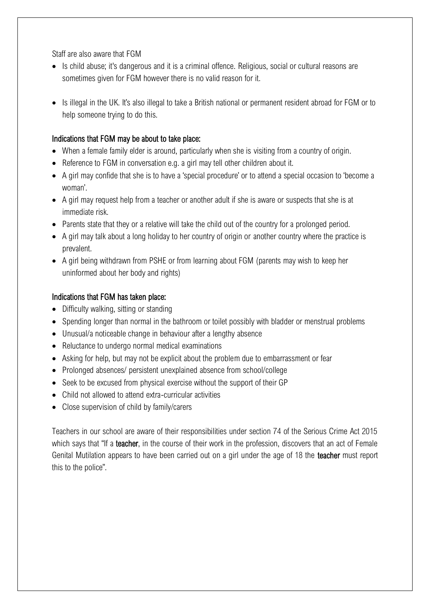Staff are also aware that FGM

- Is child abuse; it's dangerous and it is a criminal offence. Religious, social or cultural reasons are sometimes given for FGM however there is no valid reason for it.
- Is illegal in the UK. It's also illegal to take a British national or permanent resident abroad for FGM or to help someone trying to do this.

#### Indications that FGM may be about to take place:

- When a female family elder is around, particularly when she is visiting from a country of origin.
- Reference to FGM in conversation e.g. a girl may tell other children about it.
- A girl may confide that she is to have a 'special procedure' or to attend a special occasion to 'become a woman'.
- A girl may request help from a teacher or another adult if she is aware or suspects that she is at immediate risk.
- Parents state that they or a relative will take the child out of the country for a prolonged period.
- A girl may talk about a long holiday to her country of origin or another country where the practice is prevalent.
- A girl being withdrawn from PSHE or from learning about FGM (parents may wish to keep her uninformed about her body and rights)

#### Indications that FGM has taken place:

- Difficulty walking, sitting or standing
- Spending longer than normal in the bathroom or toilet possibly with bladder or menstrual problems
- Unusual/a noticeable change in behaviour after a lengthy absence
- Reluctance to undergo normal medical examinations
- Asking for help, but may not be explicit about the problem due to embarrassment or fear
- Prolonged absences/ persistent unexplained absence from school/college
- Seek to be excused from physical exercise without the support of their GP
- Child not allowed to attend extra-curricular activities
- Close supervision of child by family/carers

Teachers in our school are aware of their responsibilities under section 74 of the Serious Crime Act 2015 which says that "If a **teacher**, in the course of their work in the profession, discovers that an act of Female Genital Mutilation appears to have been carried out on a girl under the age of 18 the teacher must report this to the police".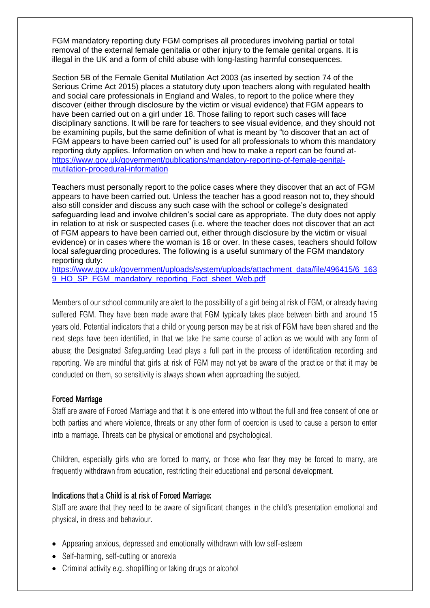FGM mandatory reporting duty FGM comprises all procedures involving partial or total removal of the external female genitalia or other injury to the female genital organs. It is illegal in the UK and a form of child abuse with long-lasting harmful consequences.

Section 5B of the Female Genital Mutilation Act 2003 (as inserted by section 74 of the Serious Crime Act 2015) places a statutory duty upon teachers along with regulated health and social care professionals in England and Wales, to report to the police where they discover (either through disclosure by the victim or visual evidence) that FGM appears to have been carried out on a girl under 18. Those failing to report such cases will face disciplinary sanctions. It will be rare for teachers to see visual evidence, and they should not be examining pupils, but the same definition of what is meant by "to discover that an act of FGM appears to have been carried out" is used for all professionals to whom this mandatory reporting duty applies. Information on when and how to make a report can be found athttps://www.gov.uk/government/publications/mandatory-reporting-of-female-genitalmutilation-procedural-information

Teachers must personally report to the police cases where they discover that an act of FGM appears to have been carried out. Unless the teacher has a good reason not to, they should also still consider and discuss any such case with the school or college's designated safeguarding lead and involve children's social care as appropriate. The duty does not apply in relation to at risk or suspected cases (i.e. where the teacher does not discover that an act of FGM appears to have been carried out, either through disclosure by the victim or visual evidence) or in cases where the woman is 18 or over. In these cases, teachers should follow local safeguarding procedures. The following is a useful summary of the FGM mandatory reporting duty:

https://www.gov.uk/government/uploads/system/uploads/attachment\_data/file/496415/6\_163 9\_HO\_SP\_FGM\_mandatory\_reporting\_Fact\_sheet\_Web.pdf

Members of our school community are alert to the possibility of a girl being at risk of FGM, or already having suffered FGM. They have been made aware that FGM typically takes place between birth and around 15 years old. Potential indicators that a child or young person may be at risk of FGM have been shared and the next steps have been identified, in that we take the same course of action as we would with any form of abuse; the Designated Safeguarding Lead plays a full part in the process of identification recording and reporting. We are mindful that girls at risk of FGM may not yet be aware of the practice or that it may be conducted on them, so sensitivity is always shown when approaching the subject.

#### Forced Marriage

Staff are aware of Forced Marriage and that it is one entered into without the full and free consent of one or both parties and where violence, threats or any other form of coercion is used to cause a person to enter into a marriage. Threats can be physical or emotional and psychological.

Children, especially girls who are forced to marry, or those who fear they may be forced to marry, are frequently withdrawn from education, restricting their educational and personal development.

#### Indications that a Child is at risk of Forced Marriage:

Staff are aware that they need to be aware of significant changes in the child's presentation emotional and physical, in dress and behaviour.

- Appearing anxious, depressed and emotionally withdrawn with low self-esteem
- Self-harming, self-cutting or anorexia
- Criminal activity e.g. shoplifting or taking drugs or alcohol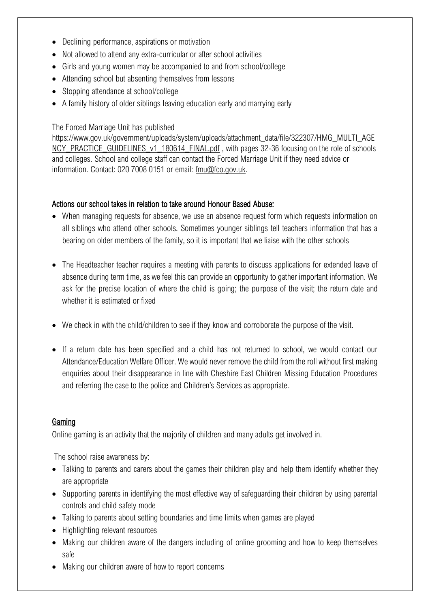- Declining performance, aspirations or motivation
- Not allowed to attend any extra-curricular or after school activities
- Girls and young women may be accompanied to and from school/college
- Attending school but absenting themselves from lessons
- Stopping attendance at school/college
- A family history of older siblings leaving education early and marrying early

#### The Forced Marriage Unit has published

[https://www.gov.uk/government/uploads/system/uploads/attachment\\_data/file/322307/HMG\\_MULTI\\_AGE](https://www.gov.uk/government/uploads/system/uploads/attachment_data/file/322307/HMG_MULTI_AGENCY_PRACTICE_GUIDELINES_v1_180614_FINAL.pdf) [NCY\\_PRACTICE\\_GUIDELINES\\_v1\\_180614\\_FINAL.pdf](https://www.gov.uk/government/uploads/system/uploads/attachment_data/file/322307/HMG_MULTI_AGENCY_PRACTICE_GUIDELINES_v1_180614_FINAL.pdf), with pages 32-36 focusing on the role of schools and colleges. School and college staff can contact the Forced Marriage Unit if they need advice or information. Contact: 020 7008 0151 or email: [fmu@fco.gov.uk.](mailto:fmu@fco.gov.uk)

#### Actions our school takes in relation to take around Honour Based Abuse:

- When managing requests for absence, we use an absence request form which requests information on all siblings who attend other schools. Sometimes younger siblings tell teachers information that has a bearing on older members of the family, so it is important that we liaise with the other schools
- The Headteacher teacher requires a meeting with parents to discuss applications for extended leave of absence during term time, as we feel this can provide an opportunity to gather important information. We ask for the precise location of where the child is going; the purpose of the visit; the return date and whether it is estimated or fixed
- We check in with the child/children to see if they know and corroborate the purpose of the visit.
- If a return date has been specified and a child has not returned to school, we would contact our Attendance/Education Welfare Officer. We would never remove the child from the roll without first making enquiries about their disappearance in line with Cheshire East Children Missing Education Procedures and referring the case to the police and Children's Services as appropriate.

#### **Gaming**

Online gaming is an activity that the majority of children and many adults get involved in.

The school raise awareness by:

- Talking to parents and carers about the games their children play and help them identify whether they are appropriate
- Supporting parents in identifying the most effective way of safeguarding their children by using parental controls and child safety mode
- Talking to parents about setting boundaries and time limits when games are played
- Highlighting relevant resources
- Making our children aware of the dangers including of online grooming and how to keep themselves safe
- Making our children aware of how to report concerns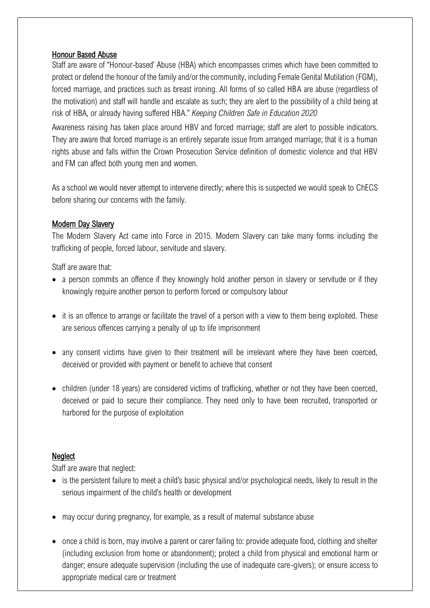#### Honour Based Abuse

Staff are aware of "Honour-based' Abuse (HBA) which encompasses crimes which have been committed to protect or defend the honour of the family and/or the community, including Female Genital Mutilation (FGM), forced marriage, and practices such as breast ironing. All forms of so called HBA are abuse (regardless of the motivation) and staff will handle and escalate as such; they are alert to the possibility of a child being at risk of HBA, or already having suffered HBA." *Keeping Children Safe in Education 2020*

Awareness raising has taken place around HBV and forced marriage; staff are alert to possible indicators. They are aware that forced marriage is an entirely separate issue from arranged marriage; that it is a human rights abuse and falls within the Crown Prosecution Service definition of domestic violence and that HBV and FM can affect both young men and women.

As a school we would never attempt to intervene directly; where this is suspected we would speak to ChECS before sharing our concerns with the family.

#### Modern Day Slavery

The Modern Slavery Act came into Force in 2015. Modern Slavery can take many forms including the trafficking of people, forced labour, servitude and slavery.

Staff are aware that:

- a person commits an offence if they knowingly hold another person in slavery or servitude or if they knowingly require another person to perform forced or compulsory labour
- it is an offence to arrange or facilitate the travel of a person with a view to them being exploited. These are serious offences carrying a penalty of up to life imprisonment
- any consent victims have given to their treatment will be irrelevant where they have been coerced, deceived or provided with payment or benefit to achieve that consent
- children (under 18 years) are considered victims of trafficking, whether or not they have been coerced, deceived or paid to secure their compliance. They need only to have been recruited, transported or harbored for the purpose of exploitation

#### **Neglect**

Staff are aware that neglect:

- is the persistent failure to meet a child's basic physical and/or psychological needs, likely to result in the serious impairment of the child's health or development
- may occur during pregnancy, for example, as a result of maternal substance abuse
- once a child is born, may involve a parent or carer failing to: provide adequate food, clothing and shelter (including exclusion from home or abandonment); protect a child from physical and emotional harm or danger; ensure adequate supervision (including the use of inadequate care-givers); or ensure access to appropriate medical care or treatment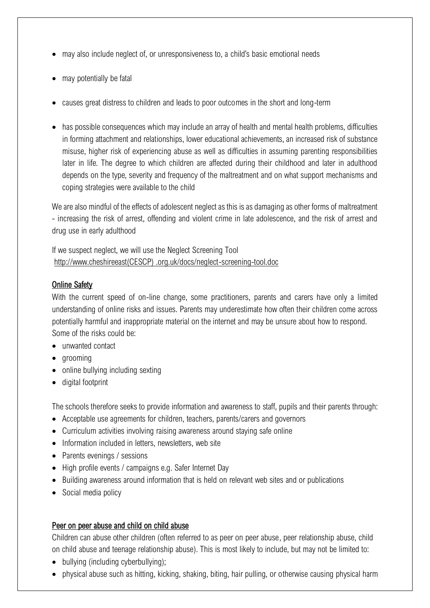- may also include neglect of, or unresponsiveness to, a child's basic emotional needs
- may potentially be fatal
- causes great distress to children and leads to poor outcomes in the short and long-term
- has possible consequences which may include an array of health and mental health problems, difficulties in forming attachment and relationships, lower educational achievements, an increased risk of substance misuse, higher risk of experiencing abuse as well as difficulties in assuming parenting responsibilities later in life. The degree to which children are affected during their childhood and later in adulthood depends on the type, severity and frequency of the maltreatment and on what support mechanisms and coping strategies were available to the child

We are also mindful of the effects of adolescent neglect as this is as damaging as other forms of maltreatment - increasing the risk of arrest, offending and violent crime in late adolescence, and the risk of arrest and drug use in early adulthood

If we suspect neglect, we will use the Neglect Screening Tool [http://www.cheshireeast\(CESCP\) .org.uk/docs/neglect-screening-tool.doc](http://www.cheshireeastlscb.org.uk/docs/neglect-screening-tool.doc)

#### Online Safety

With the current speed of on-line change, some practitioners, parents and carers have only a limited understanding of online risks and issues. Parents may underestimate how often their children come across potentially harmful and inappropriate material on the internet and may be unsure about how to respond. Some of the risks could be:

- unwanted contact
- grooming
- online bullying including sexting
- digital footprint

The schools therefore seeks to provide information and awareness to staff, pupils and their parents through:

- Acceptable use agreements for children, teachers, parents/carers and governors
- Curriculum activities involving raising awareness around staving safe online
- Information included in letters, newsletters, web site
- Parents evenings / sessions
- High profile events / campaigns e.g. Safer Internet Day
- Building awareness around information that is held on relevant web sites and or publications
- Social media policy

#### Peer on peer abuse and child on child abuse

Children can abuse other children (often referred to as peer on peer abuse, peer relationship abuse, child on child abuse and teenage relationship abuse). This is most likely to include, but may not be limited to:

- bullying (including cyberbullying);
- physical abuse such as hitting, kicking, shaking, biting, hair pulling, or otherwise causing physical harm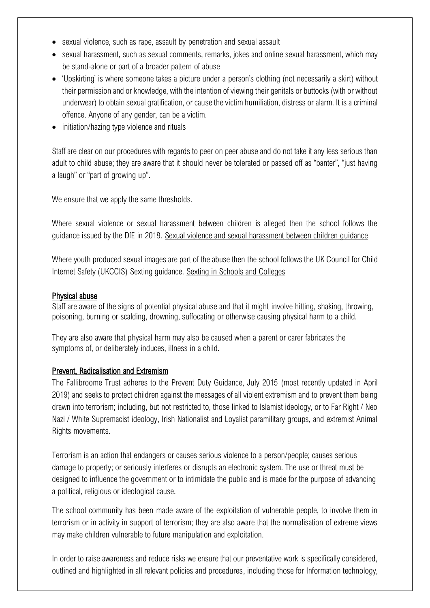- sexual violence, such as rape, assault by penetration and sexual assault
- sexual harassment, such as sexual comments, remarks, jokes and online sexual harassment, which may be stand-alone or part of a broader pattern of abuse
- 'Upskirting' is where someone takes a picture under a person's clothing (not necessarily a skirt) without their permission and or knowledge, with the intention of viewing their genitals or buttocks (with or without underwear) to obtain sexual gratification, or cause the victim humiliation, distress or alarm. It is a criminal offence. Anyone of any gender, can be a victim.
- initiation/hazing type violence and rituals

Staff are clear on our procedures with regards to peer on peer abuse and do not take it any less serious than adult to child abuse; they are aware that it should never be tolerated or passed off as "banter", "just having a laugh" or "part of growing up".

We ensure that we apply the same thresholds.

Where sexual violence or sexual harassment between children is alleged then the school follows the guidance issued by the DfE in 2018. [Sexual violence and sexual harassment between children guidance](https://assets.publishing.service.gov.uk/government/uploads/system/uploads/attachment_data/file/719902/Sexual_violence_and_sexual_harassment_between_children_in_schools_and_colleges.pdf)

Where youth produced sexual images are part of the abuse then the school follows the UK Council for Child Internet Safety (UKCCIS) Sexting guidance. [Sexting in Schools and Colleges](https://assets.publishing.service.gov.uk/government/uploads/system/uploads/attachment_data/file/759007/6_2939_SP_NCA_Sexting_In_Schools_FINAL_Update_Jan17.pdf)

#### Physical abuse

Staff are aware of the signs of potential physical abuse and that it might involve hitting, shaking, throwing, poisoning, burning or scalding, drowning, suffocating or otherwise causing physical harm to a child.

They are also aware that physical harm may also be caused when a parent or carer fabricates the symptoms of, or deliberately induces, illness in a child.

#### Prevent, Radicalisation and Extremism

The Fallibroome Trust adheres to the Prevent Duty Guidance, July 2015 (most recently updated in April 2019) and seeks to protect children against the messages of all violent extremism and to prevent them being drawn into terrorism; including, but not restricted to, those linked to Islamist ideology, or to Far Right / Neo Nazi / White Supremacist ideology, Irish Nationalist and Loyalist paramilitary groups, and extremist Animal Rights movements.

Terrorism is an action that endangers or causes serious violence to a person/people; causes serious damage to property; or seriously interferes or disrupts an electronic system. The use or threat must be designed to influence the government or to intimidate the public and is made for the purpose of advancing a political, religious or ideological cause.

The school community has been made aware of the exploitation of vulnerable people, to involve them in terrorism or in activity in support of terrorism; they are also aware that the normalisation of extreme views may make children vulnerable to future manipulation and exploitation.

In order to raise awareness and reduce risks we ensure that our preventative work is specifically considered, outlined and highlighted in all relevant policies and procedures, including those for Information technology,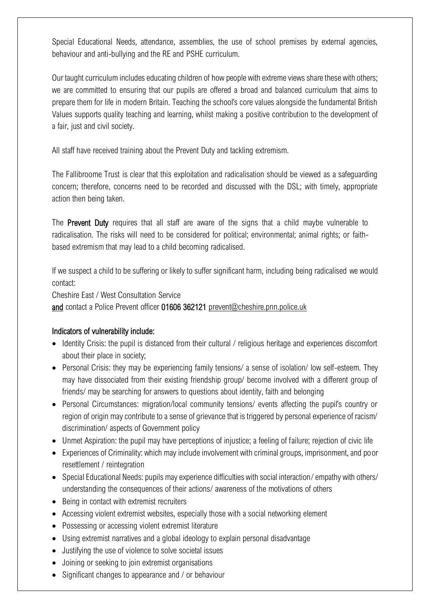Special Educational Needs, attendance, assemblies, the use of school premises by external agencies, behaviour and anti-bullying and the RE and PSHE curriculum.

Our taught curriculum includes educating children of how people with extreme views share these with others; we are committed to ensuring that our pupils are offered a broad and balanced curriculum that aims to prepare them for life in modern Britain. Teaching the school's core values alongside the fundamental British Values supports quality teaching and learning, whilst making a positive contribution to the development of a fair, just and civil society.

All staff have received training about the Prevent Duty and tackling extremism.

The Fallibroome Trust is clear that this exploitation and radicalisation should be viewed as a safeguarding concern; therefore, concerns need to be recorded and discussed with the DSL; with timely, appropriate action then being taken.

The **Prevent Duty** requires that all staff are aware of the signs that a child maybe vulnerable to radicalisation. The risks will need to be considered for political; environmental; animal rights; or faithbased extremism that may lead to a child becoming radicalised.

If we suspect a child to be suffering or likely to suffer significant harm, including being radicalised we would contact:

Cheshire East / West Consultation Service

and contact a Police Prevent officer 01606 362121 [prevent@cheshire.pnn.police.uk](mailto:prevent@cheshire.pnn.police.uk)

#### Indicators of vulnerability include:

- Identity Crisis: the pupil is distanced from their cultural / religious heritage and experiences discomfort about their place in society;
- Personal Crisis: they may be experiencing family tensions/ a sense of isolation/ low self-esteem. They may have dissociated from their existing friendship group/ become involved with a different group of friends/ may be searching for answers to questions about identity, faith and belonging
- Personal Circumstances: migration/local community tensions/ events affecting the pupil's country or region of origin may contribute to a sense of grievance that is triggered by personal experience of racism/ discrimination/ aspects of Government policy
- Unmet Aspiration: the pupil may have perceptions of injustice; a feeling of failure; rejection of civic life
- Experiences of Criminality: which may include involvement with criminal groups, imprisonment, and poor resettlement / reintegration
- Special Educational Needs: pupils may experience difficulties with social interaction/ empathy with others/ understanding the consequences of their actions/ awareness of the motivations of others
- Being in contact with extremist recruiters
- Accessing violent extremist websites, especially those with a social networking element
- Possessing or accessing violent extremist literature
- Using extremist narratives and a global ideology to explain personal disadvantage
- Justifying the use of violence to solve societal issues
- Joining or seeking to join extremist organisations
- Significant changes to appearance and / or behaviour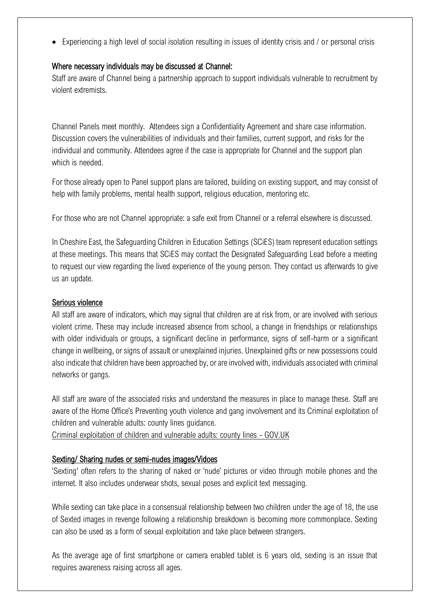• Experiencing a high level of social isolation resulting in issues of identity crisis and / or personal crisis

#### Where necessary individuals may be discussed at Channel:

Staff are aware of Channel being a partnership approach to support individuals vulnerable to recruitment by violent extremists.

Channel Panels meet monthly. Attendees sign a Confidentiality Agreement and share case information. Discussion covers the vulnerabilities of individuals and their families, current support, and risks for the individual and community. Attendees agree if the case is appropriate for Channel and the support plan which is needed

For those already open to Panel support plans are tailored, building on existing support, and may consist of help with family problems, mental health support, religious education, mentoring etc.

For those who are not Channel appropriate: a safe exit from Channel or a referral elsewhere is discussed.

In Cheshire East, the Safeguarding Children in Education Settings (SCiES) team represent education settings at these meetings. This means that SCiES may contact the Designated Safeguarding Lead before a meeting to request our view regarding the lived experience of the young person. They contact us afterwards to give us an update.

#### Serious violence

All staff are aware of indicators, which may signal that children are at risk from, or are involved with serious violent crime. These may include increased absence from school, a change in friendships or relationships with older individuals or groups, a significant decline in performance, signs of self-harm or a significant change in wellbeing, or signs of assault or unexplained injuries. Unexplained gifts or new possessions could also indicate that children have been approached by, or are involved with, individuals associated with criminal networks or gangs.

All staff are aware of the associated risks and understand the measures in place to manage these. Staff are aware of the Home Office's Preventing youth violence and gang involvement and its Criminal exploitation of children and vulnerable adults: county lines guidance.

[Criminal exploitation of children and vulnerable adults: county lines -](https://www.gov.uk/government/publications/criminal-exploitation-of-children-and-vulnerable-adults-county-lines) GOV.UK

#### Sexting/ Sharing nudes or semi-nudes images/Vidoes

'Sexting' often refers to the sharing of naked or 'nude' pictures or video through mobile phones and the internet. It also includes underwear shots, sexual poses and explicit text messaging.

While sexting can take place in a consensual relationship between two children under the age of 18, the use of Sexted images in revenge following a relationship breakdown is becoming more commonplace. Sexting can also be used as a form of sexual exploitation and take place between strangers.

As the average age of first smartphone or camera enabled tablet is 6 years old, sexting is an issue that requires awareness raising across all ages.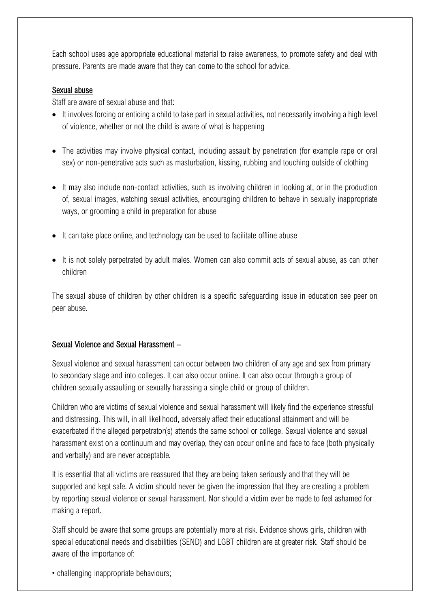Each school uses age appropriate educational material to raise awareness, to promote safety and deal with pressure. Parents are made aware that they can come to the school for advice.

#### Sexual abuse

Staff are aware of sexual abuse and that:

- It involves forcing or enticing a child to take part in sexual activities, not necessarily involving a high level of violence, whether or not the child is aware of what is happening
- The activities may involve physical contact, including assault by penetration (for example rape or oral sex) or non-penetrative acts such as masturbation, kissing, rubbing and touching outside of clothing
- It may also include non-contact activities, such as involving children in looking at, or in the production of, sexual images, watching sexual activities, encouraging children to behave in sexually inappropriate ways, or grooming a child in preparation for abuse
- It can take place online, and technology can be used to facilitate offline abuse
- It is not solely perpetrated by adult males. Women can also commit acts of sexual abuse, as can other children

The sexual abuse of children by other children is a specific safeguarding issue in education see peer on peer abuse.

#### Sexual Violence and Sexual Harassment –

Sexual violence and sexual harassment can occur between two children of any age and sex from primary to secondary stage and into colleges. It can also occur online. It can also occur through a group of children sexually assaulting or sexually harassing a single child or group of children.

Children who are victims of sexual violence and sexual harassment will likely find the experience stressful and distressing. This will, in all likelihood, adversely affect their educational attainment and will be exacerbated if the alleged perpetrator(s) attends the same school or college. Sexual violence and sexual harassment exist on a continuum and may overlap, they can occur online and face to face (both physically and verbally) and are never acceptable.

It is essential that all victims are reassured that they are being taken seriously and that they will be supported and kept safe. A victim should never be given the impression that they are creating a problem by reporting sexual violence or sexual harassment. Nor should a victim ever be made to feel ashamed for making a report.

Staff should be aware that some groups are potentially more at risk. Evidence shows girls, children with special educational needs and disabilities (SEND) and LGBT children are at greater risk. Staff should be aware of the importance of:

• challenging inappropriate behaviours;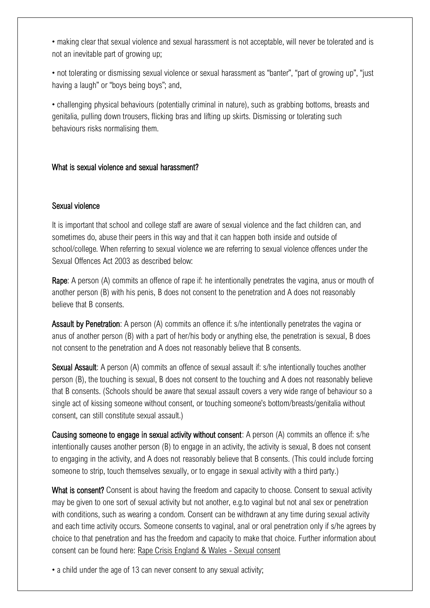• making clear that sexual violence and sexual harassment is not acceptable, will never be tolerated and is not an inevitable part of growing up;

• not tolerating or dismissing sexual violence or sexual harassment as "banter", "part of growing up", "just having a laugh" or "boys being boys"; and,

• challenging physical behaviours (potentially criminal in nature), such as grabbing bottoms, breasts and genitalia, pulling down trousers, flicking bras and lifting up skirts. Dismissing or tolerating such behaviours risks normalising them.

#### What is sexual violence and sexual harassment?

#### Sexual violence

It is important that school and college staff are aware of sexual violence and the fact children can, and sometimes do, abuse their peers in this way and that it can happen both inside and outside of school/college. When referring to sexual violence we are referring to sexual violence offences under the Sexual Offences Act 2003 as described below:

Rape: A person (A) commits an offence of rape if: he intentionally penetrates the vagina, anus or mouth of another person (B) with his penis, B does not consent to the penetration and A does not reasonably believe that B consents.

Assault by Penetration: A person (A) commits an offence if: s/he intentionally penetrates the vagina or anus of another person (B) with a part of her/his body or anything else, the penetration is sexual, B does not consent to the penetration and A does not reasonably believe that B consents.

Sexual Assault: A person (A) commits an offence of sexual assault if: s/he intentionally touches another person (B), the touching is sexual, B does not consent to the touching and A does not reasonably believe that B consents. (Schools should be aware that sexual assault covers a very wide range of behaviour so a single act of kissing someone without consent, or touching someone's bottom/breasts/genitalia without consent, can still constitute sexual assault.)

Causing someone to engage in sexual activity without consent: A person (A) commits an offence if: s/he intentionally causes another person (B) to engage in an activity, the activity is sexual, B does not consent to engaging in the activity, and A does not reasonably believe that B consents. (This could include forcing someone to strip, touch themselves sexually, or to engage in sexual activity with a third party.)

What is consent? Consent is about having the freedom and capacity to choose. Consent to sexual activity may be given to one sort of sexual activity but not another, e.g.to vaginal but not anal sex or penetration with conditions, such as wearing a condom. Consent can be withdrawn at any time during sexual activity and each time activity occurs. Someone consents to vaginal, anal or oral penetration only if s/he agrees by choice to that penetration and has the freedom and capacity to make that choice. Further information about consent can be found here: [Rape Crisis England & Wales -](https://rapecrisis.org.uk/get-informed/about-sexual-violence/sexual-consent/) Sexual consent

• a child under the age of 13 can never consent to any sexual activity;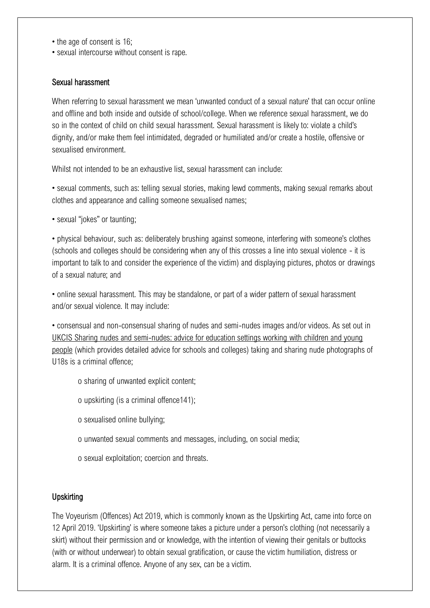- the age of consent is 16;
- sexual intercourse without consent is rape.

#### Sexual harassment

When referring to sexual harassment we mean 'unwanted conduct of a sexual nature' that can occur online and offline and both inside and outside of school/college. When we reference sexual harassment, we do so in the context of child on child sexual harassment. Sexual harassment is likely to: violate a child's dignity, and/or make them feel intimidated, degraded or humiliated and/or create a hostile, offensive or sexualised environment.

Whilst not intended to be an exhaustive list, sexual harassment can include:

• sexual comments, such as: telling sexual stories, making lewd comments, making sexual remarks about clothes and appearance and calling someone sexualised names;

• sexual "jokes" or taunting;

• physical behaviour, such as: deliberately brushing against someone, interfering with someone's clothes (schools and colleges should be considering when any of this crosses a line into sexual violence - it is important to talk to and consider the experience of the victim) and displaying pictures, photos or drawings of a sexual nature; and

• online sexual harassment. This may be standalone, or part of a wider pattern of sexual harassment and/or sexual violence. It may include:

• consensual and non-consensual sharing of nudes and semi-nudes images and/or videos. As set out in [UKCIS Sharing nudes and semi-nudes: advice for education settings working with children and young](https://www.gov.uk/government/publications/sharing-nudes-and-semi-nudes-advice-for-education-settings-working-with-children-and-young-people)  [people](https://www.gov.uk/government/publications/sharing-nudes-and-semi-nudes-advice-for-education-settings-working-with-children-and-young-people) (which provides detailed advice for schools and colleges) taking and sharing nude photographs of U18s is a criminal offence;

- o sharing of unwanted explicit content;
- o upskirting (is a criminal offence141);
- o sexualised online bullying;
- o unwanted sexual comments and messages, including, on social media;
- o sexual exploitation; coercion and threats.

#### **Upskirting**

The Voyeurism (Offences) Act 2019, which is commonly known as the Upskirting Act, came into force on 12 April 2019. 'Upskirting' is where someone takes a picture under a person's clothing (not necessarily a skirt) without their permission and or knowledge, with the intention of viewing their genitals or buttocks (with or without underwear) to obtain sexual gratification, or cause the victim humiliation, distress or alarm. It is a criminal offence. Anyone of any sex, can be a victim.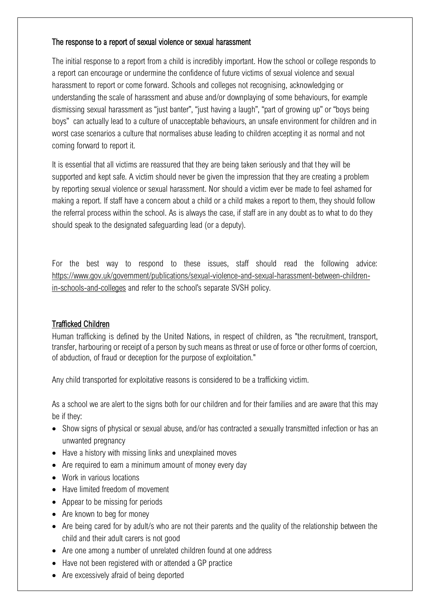#### The response to a report of sexual violence or sexual harassment

The initial response to a report from a child is incredibly important. How the school or college responds to a report can encourage or undermine the confidence of future victims of sexual violence and sexual harassment to report or come forward. Schools and colleges not recognising, acknowledging or understanding the scale of harassment and abuse and/or downplaying of some behaviours, for example dismissing sexual harassment as "just banter", "just having a laugh", "part of growing up" or "boys being boys" can actually lead to a culture of unacceptable behaviours, an unsafe environment for children and in worst case scenarios a culture that normalises abuse leading to children accepting it as normal and not coming forward to report it.

It is essential that all victims are reassured that they are being taken seriously and that they will be supported and kept safe. A victim should never be given the impression that they are creating a problem by reporting sexual violence or sexual harassment. Nor should a victim ever be made to feel ashamed for making a report. If staff have a concern about a child or a child makes a report to them, they should follow the referral process within the school. As is always the case, if staff are in any doubt as to what to do they should speak to the designated safeguarding lead (or a deputy).

For the best way to respond to these issues, staff should read the following advice: [https://www.gov.uk/government/publications/sexual-violence-and-sexual-harassment-between-children](https://www.gov.uk/government/publications/sexual-violence-and-sexual-harassment-between-children-in-schools-and-colleges)[in-schools-and-colleges](https://www.gov.uk/government/publications/sexual-violence-and-sexual-harassment-between-children-in-schools-and-colleges) and refer to the school's separate SVSH policy.

#### Trafficked Children

Human trafficking is defined by the United Nations, in respect of children, as "the recruitment, transport, transfer, harbouring or receipt of a person by such means as threat or use of force or other forms of coercion, of abduction, of fraud or deception for the purpose of exploitation."

Any child transported for exploitative reasons is considered to be a trafficking victim.

As a school we are alert to the signs both for our children and for their families and are aware that this may be if they:

- Show signs of physical or sexual abuse, and/or has contracted a sexually transmitted infection or has an unwanted pregnancy
- Have a history with missing links and unexplained moves
- Are required to earn a minimum amount of money every day
- Work in various locations
- Have limited freedom of movement
- Appear to be missing for periods
- Are known to beg for money
- Are being cared for by adult/s who are not their parents and the quality of the relationship between the child and their adult carers is not good
- Are one among a number of unrelated children found at one address
- Have not been registered with or attended a GP practice
- Are excessively afraid of being deported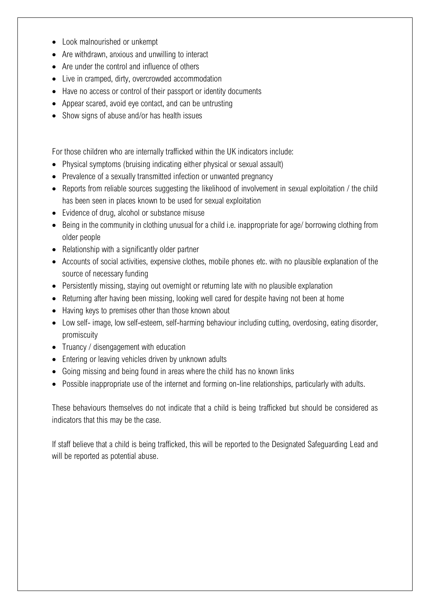- Look malnourished or unkempt
- Are withdrawn, anxious and unwilling to interact
- Are under the control and influence of others
- Live in cramped, dirty, overcrowded accommodation
- Have no access or control of their passport or identity documents
- Appear scared, avoid eye contact, and can be untrusting
- Show signs of abuse and/or has health issues

For those children who are internally trafficked within the UK indicators include:

- Physical symptoms (bruising indicating either physical or sexual assault)
- Prevalence of a sexually transmitted infection or unwanted pregnancy
- Reports from reliable sources suggesting the likelihood of involvement in sexual exploitation / the child has been seen in places known to be used for sexual exploitation
- Evidence of drug, alcohol or substance misuse
- Being in the community in clothing unusual for a child i.e. inappropriate for age/ borrowing clothing from older people
- Relationship with a significantly older partner
- Accounts of social activities, expensive clothes, mobile phones etc. with no plausible explanation of the source of necessary funding
- Persistently missing, staying out overnight or returning late with no plausible explanation
- Returning after having been missing, looking well cared for despite having not been at home
- Having keys to premises other than those known about
- Low self- image, low self-esteem, self-harming behaviour including cutting, overdosing, eating disorder, promiscuity
- Truancy / disengagement with education
- Entering or leaving vehicles driven by unknown adults
- Going missing and being found in areas where the child has no known links
- Possible inappropriate use of the internet and forming on-line relationships, particularly with adults.

These behaviours themselves do not indicate that a child is being trafficked but should be considered as indicators that this may be the case.

If staff believe that a child is being trafficked, this will be reported to the Designated Safeguarding Lead and will be reported as potential abuse.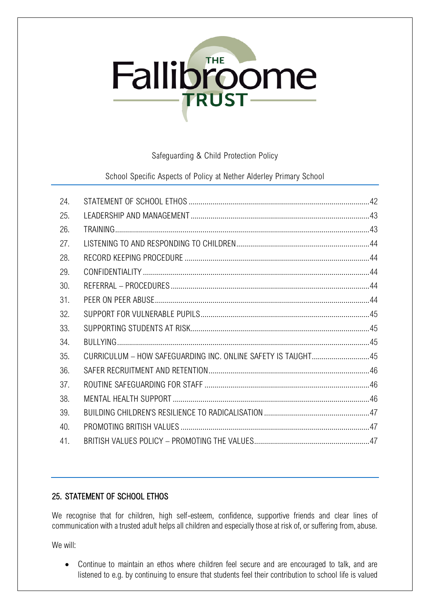# **Fallibroome**

#### Safeguarding & Child Protection Policy

School Specific Aspects of Policy at Nether Alderley Primary School

| 24. |                                                              |  |
|-----|--------------------------------------------------------------|--|
| 25. |                                                              |  |
| 26. |                                                              |  |
| 27. |                                                              |  |
| 28. |                                                              |  |
| 29. |                                                              |  |
| 30. |                                                              |  |
| 31. |                                                              |  |
| 32. |                                                              |  |
| 33. |                                                              |  |
| 34. |                                                              |  |
| 35. | CURRICULUM - HOW SAFEGUARDING INC. ONLINE SAFETY IS TAUGHT45 |  |
| 36. |                                                              |  |
| 37. |                                                              |  |
| 38. |                                                              |  |
| 39. |                                                              |  |
| 40. |                                                              |  |
| 41. |                                                              |  |

# <span id="page-47-0"></span>25. STATEMENT OF SCHOOL ETHOS

We recognise that for children, high self-esteem, confidence, supportive friends and clear lines of communication with a trusted adult helps all children and especially those at risk of, or suffering from, abuse.

We will:

• Continue to maintain an ethos where children feel secure and are encouraged to talk, and are listened to e.g. by continuing to ensure that students feel their contribution to school life is valued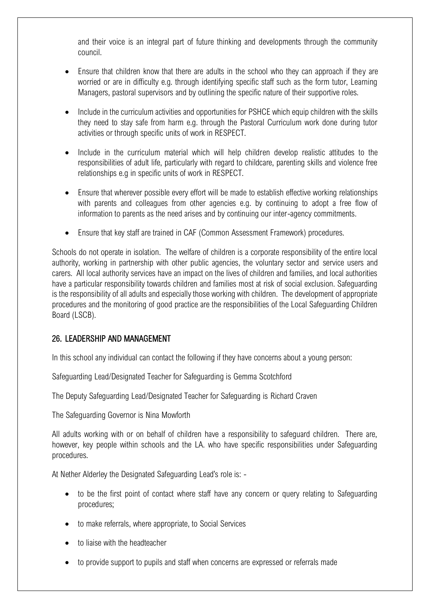and their voice is an integral part of future thinking and developments through the community council.

- Ensure that children know that there are adults in the school who they can approach if they are worried or are in difficulty e.g. through identifying specific staff such as the form tutor, Learning Managers, pastoral supervisors and by outlining the specific nature of their supportive roles.
- Include in the curriculum activities and opportunities for PSHCE which equip children with the skills they need to stay safe from harm e.g. through the Pastoral Curriculum work done during tutor activities or through specific units of work in RESPECT.
- Include in the curriculum material which will help children develop realistic attitudes to the responsibilities of adult life, particularly with regard to childcare, parenting skills and violence free relationships e.g in specific units of work in RESPECT.
- Ensure that wherever possible every effort will be made to establish effective working relationships with parents and colleagues from other agencies e.g. by continuing to adopt a free flow of information to parents as the need arises and by continuing our inter-agency commitments.
- Ensure that key staff are trained in CAF (Common Assessment Framework) procedures.

Schools do not operate in isolation. The welfare of children is a corporate responsibility of the entire local authority, working in partnership with other public agencies, the voluntary sector and service users and carers. All local authority services have an impact on the lives of children and families, and local authorities have a particular responsibility towards children and families most at risk of social exclusion. Safeguarding is the responsibility of all adults and especially those working with children. The development of appropriate procedures and the monitoring of good practice are the responsibilities of the Local Safeguarding Children Board (LSCB).

#### <span id="page-48-0"></span>26. LEADERSHIP AND MANAGEMENT

In this school any individual can contact the following if they have concerns about a young person:

Safeguarding Lead/Designated Teacher for Safeguarding is Gemma Scotchford

The Deputy Safeguarding Lead/Designated Teacher for Safeguarding is Richard Craven

The Safeguarding Governor is Nina Mowforth

All adults working with or on behalf of children have a responsibility to safeguard children. There are, however, key people within schools and the LA. who have specific responsibilities under Safeguarding procedures.

At Nether Alderley the Designated Safeguarding Lead's role is: -

- to be the first point of contact where staff have any concern or query relating to Safeguarding procedures;
- to make referrals, where appropriate, to Social Services
- to liaise with the headteacher
- to provide support to pupils and staff when concerns are expressed or referrals made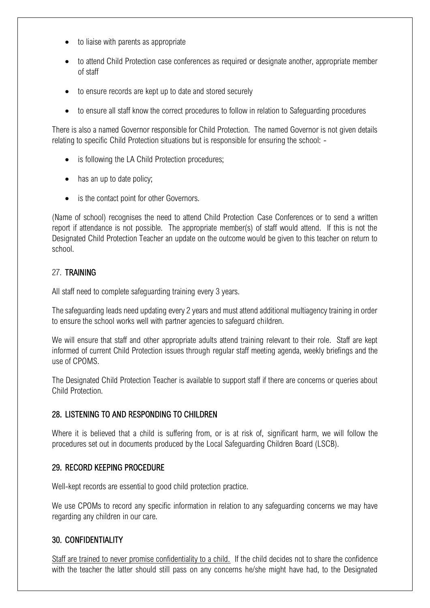- to liaise with parents as appropriate
- to attend Child Protection case conferences as required or designate another, appropriate member of staff
- to ensure records are kept up to date and stored securely
- to ensure all staff know the correct procedures to follow in relation to Safeguarding procedures

There is also a named Governor responsible for Child Protection. The named Governor is not given details relating to specific Child Protection situations but is responsible for ensuring the school: -

- is following the LA Child Protection procedures;
- has an up to date policy;
- is the contact point for other Governors.

(Name of school) recognises the need to attend Child Protection Case Conferences or to send a written report if attendance is not possible. The appropriate member(s) of staff would attend. If this is not the Designated Child Protection Teacher an update on the outcome would be given to this teacher on return to school.

#### <span id="page-49-0"></span>27. TRAINING

All staff need to complete safeguarding training every 3 years.

The safeguarding leads need updating every 2 years and must attend additional multiagency training in order to ensure the school works well with partner agencies to safeguard children.

We will ensure that staff and other appropriate adults attend training relevant to their role. Staff are kept informed of current Child Protection issues through regular staff meeting agenda, weekly briefings and the use of CPOMS.

The Designated Child Protection Teacher is available to support staff if there are concerns or queries about Child Protection.

#### <span id="page-49-1"></span>28. LISTENING TO AND RESPONDING TO CHILDREN

Where it is believed that a child is suffering from, or is at risk of, significant harm, we will follow the procedures set out in documents produced by the Local Safeguarding Children Board (LSCB).

#### <span id="page-49-2"></span>29. RECORD KEEPING PROCEDURE

Well-kept records are essential to good child protection practice.

We use CPOMs to record any specific information in relation to any safeguarding concerns we may have regarding any children in our care.

#### <span id="page-49-3"></span>30. CONFIDENTIALITY

Staff are trained to never promise confidentiality to a child. If the child decides not to share the confidence with the teacher the latter should still pass on any concerns he/she might have had, to the Designated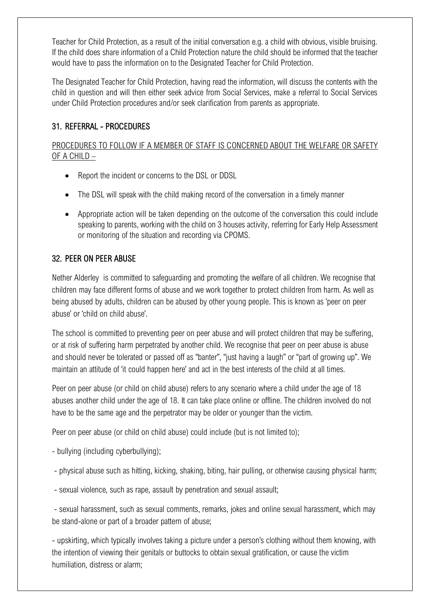Teacher for Child Protection, as a result of the initial conversation e.g. a child with obvious, visible bruising. If the child does share information of a Child Protection nature the child should be informed that the teacher would have to pass the information on to the Designated Teacher for Child Protection.

The Designated Teacher for Child Protection, having read the information, will discuss the contents with the child in question and will then either seek advice from Social Services, make a referral to Social Services under Child Protection procedures and/or seek clarification from parents as appropriate.

# <span id="page-50-0"></span>31. REFERRAL - PROCEDURES

# PROCEDURES TO FOLLOW IF A MEMBER OF STAFF IS CONCERNED ABOUT THE WELFARE OR SAFETY OF A CHILD –

- Report the incident or concerns to the DSL or DDSL
- The DSL will speak with the child making record of the conversation in a timely manner
- Appropriate action will be taken depending on the outcome of the conversation this could include speaking to parents, working with the child on 3 houses activity, referring for Early Help Assessment or monitoring of the situation and recording via CPOMS.

#### <span id="page-50-1"></span>32. PEER ON PEER ABUSE

Nether Alderley is committed to safeguarding and promoting the welfare of all children. We recognise that children may face different forms of abuse and we work together to protect children from harm. As well as being abused by adults, children can be abused by other young people. This is known as 'peer on peer abuse' or 'child on child abuse'.

The school is committed to preventing peer on peer abuse and will protect children that may be suffering, or at risk of suffering harm perpetrated by another child. We recognise that peer on peer abuse is abuse and should never be tolerated or passed off as "banter", "just having a laugh" or "part of growing up". We maintain an attitude of 'it could happen here' and act in the best interests of the child at all times.

Peer on peer abuse (or child on child abuse) refers to any scenario where a child under the age of 18 abuses another child under the age of 18. It can take place online or offline. The children involved do not have to be the same age and the perpetrator may be older or younger than the victim.

Peer on peer abuse (or child on child abuse) could include (but is not limited to):

- bullying (including cyberbullying);
- physical abuse such as hitting, kicking, shaking, biting, hair pulling, or otherwise causing physical harm;
- sexual violence, such as rape, assault by penetration and sexual assault;

- sexual harassment, such as sexual comments, remarks, jokes and online sexual harassment, which may be stand-alone or part of a broader pattern of abuse;

- upskirting, which typically involves taking a picture under a person's clothing without them knowing, with the intention of viewing their genitals or buttocks to obtain sexual gratification, or cause the victim humiliation, distress or alarm;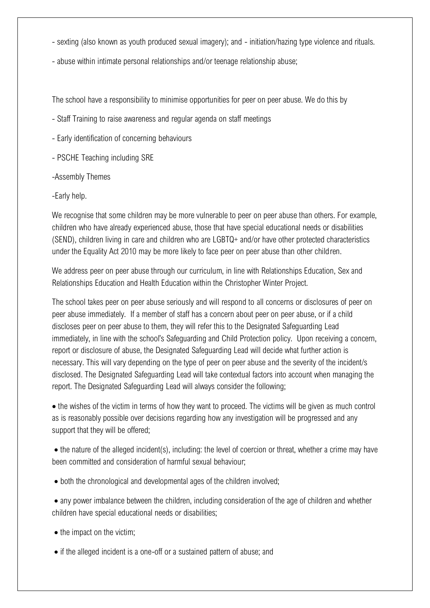- sexting (also known as youth produced sexual imagery); and initiation/hazing type violence and rituals.
- abuse within intimate personal relationships and/or teenage relationship abuse;

The school have a responsibility to minimise opportunities for peer on peer abuse. We do this by

- Staff Training to raise awareness and regular agenda on staff meetings
- Early identification of concerning behaviours
- PSCHE Teaching including SRE
- -Assembly Themes
- -Early help.

We recognise that some children may be more vulnerable to peer on peer abuse than others. For example, children who have already experienced abuse, those that have special educational needs or disabilities (SEND), children living in care and children who are LGBTQ+ and/or have other protected characteristics under the Equality Act 2010 may be more likely to face peer on peer abuse than other children.

We address peer on peer abuse through our curriculum, in line with Relationships Education, Sex and Relationships Education and Health Education within the Christopher Winter Project.

The school takes peer on peer abuse seriously and will respond to all concerns or disclosures of peer on peer abuse immediately. If a member of staff has a concern about peer on peer abuse, or if a child discloses peer on peer abuse to them, they will refer this to the Designated Safeguarding Lead immediately, in line with the school's Safeguarding and Child Protection policy. Upon receiving a concern, report or disclosure of abuse, the Designated Safeguarding Lead will decide what further action is necessary. This will vary depending on the type of peer on peer abuse and the severity of the incident/s disclosed. The Designated Safeguarding Lead will take contextual factors into account when managing the report. The Designated Safeguarding Lead will always consider the following;

• the wishes of the victim in terms of how they want to proceed. The victims will be given as much control as is reasonably possible over decisions regarding how any investigation will be progressed and any support that they will be offered;

• the nature of the alleged incident(s), including: the level of coercion or threat, whether a crime may have been committed and consideration of harmful sexual behaviour;

• both the chronological and developmental ages of the children involved;

• any power imbalance between the children, including consideration of the age of children and whether children have special educational needs or disabilities;

- the impact on the victim;
- if the alleged incident is a one-off or a sustained pattern of abuse; and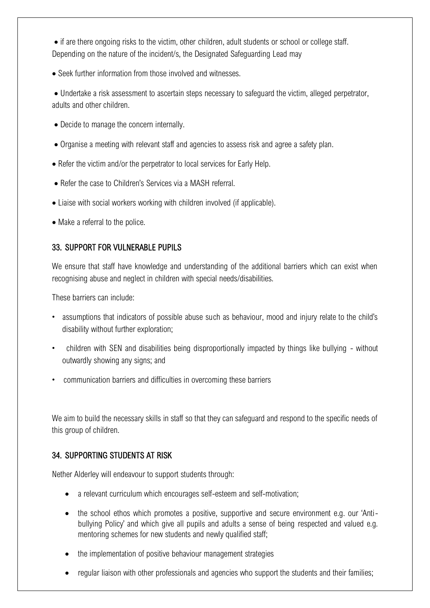• if are there ongoing risks to the victim, other children, adult students or school or college staff. Depending on the nature of the incident/s, the Designated Safeguarding Lead may

• Seek further information from those involved and witnesses.

• Undertake a risk assessment to ascertain steps necessary to safeguard the victim, alleged perpetrator, adults and other children.

- Decide to manage the concern internally.
- Organise a meeting with relevant staff and agencies to assess risk and agree a safety plan.
- Refer the victim and/or the perpetrator to local services for Early Help.
- Refer the case to Children's Services via a MASH referral.
- Liaise with social workers working with children involved (if applicable).
- Make a referral to the police.

#### <span id="page-52-0"></span>33. SUPPORT FOR VULNERABLE PUPILS

<span id="page-52-1"></span>We ensure that staff have knowledge and understanding of the additional barriers which can exist when recognising abuse and neglect in children with special needs/disabilities.

These barriers can include:

- assumptions that indicators of possible abuse such as behaviour, mood and injury relate to the child's disability without further exploration;
- children with SEN and disabilities being disproportionally impacted by things like bullying without outwardly showing any signs; and
- communication barriers and difficulties in overcoming these barriers

We aim to build the necessary skills in staff so that they can safeguard and respond to the specific needs of this group of children.

#### 34. SUPPORTING STUDENTS AT RISK

Nether Alderley will endeavour to support students through:

- a relevant curriculum which encourages self-esteem and self-motivation;
- the school ethos which promotes a positive, supportive and secure environment e.g. our 'Antibullying Policy' and which give all pupils and adults a sense of being respected and valued e.g. mentoring schemes for new students and newly qualified staff;
- the implementation of positive behaviour management strategies
- regular liaison with other professionals and agencies who support the students and their families;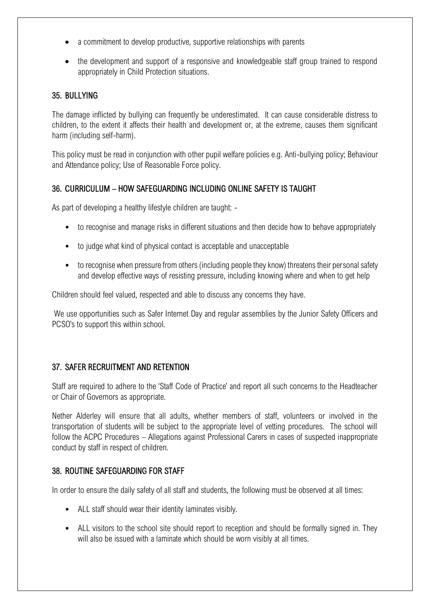- a commitment to develop productive, supportive relationships with parents
- the development and support of a responsive and knowledgeable staff group trained to respond appropriately in Child Protection situations.

#### <span id="page-53-0"></span>35. BULLYING

The damage inflicted by bullying can frequently be underestimated. It can cause considerable distress to children, to the extent it affects their health and development or, at the extreme, causes them significant harm (including self-harm).

This policy must be read in conjunction with other pupil welfare policies e.g. Anti-bullying policy; Behaviour and Attendance policy; Use of Reasonable Force policy.

#### <span id="page-53-1"></span>36. CURRICULUM – HOW SAFEGUARDING INCLUDING ONLINE SAFETY IS TAUGHT

As part of developing a healthy lifestyle children are taught: -

- to recognise and manage risks in different situations and then decide how to behave appropriately
- to judge what kind of physical contact is acceptable and unacceptable
- to recognise when pressure from others (including people they know) threatens their personal safety and develop effective ways of resisting pressure, including knowing where and when to get help

Children should feel valued, respected and able to discuss any concerns they have.

We use opportunities such as Safer Internet Day and regular assemblies by the Junior Safety Officers and PCSO's to support this within school.

# <span id="page-53-2"></span>37. SAFER RECRUITMENT AND RETENTION

Staff are required to adhere to the 'Staff Code of Practice' and report all such concerns to the Headteacher or Chair of Governors as appropriate.

Nether Alderley will ensure that all adults, whether members of staff, volunteers or involved in the transportation of students will be subject to the appropriate level of vetting procedures. The school will follow the ACPC Procedures – Allegations against Professional Carers in cases of suspected inappropriate conduct by staff in respect of children.

#### <span id="page-53-3"></span>38. ROUTINE SAFEGUARDING FOR STAFF

In order to ensure the daily safety of all staff and students, the following must be observed at all times:

- ALL staff should wear their identity laminates visibly.
- ALL visitors to the school site should report to reception and should be formally signed in. They will also be issued with a laminate which should be worn visibly at all times.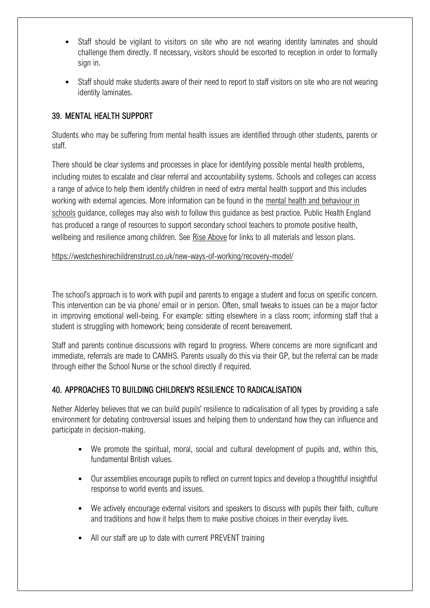- Staff should be vigilant to visitors on site who are not wearing identity laminates and should challenge them directly. If necessary, visitors should be escorted to reception in order to formally sign in.
- Staff should make students aware of their need to report to staff visitors on site who are not wearing identity laminates.

#### <span id="page-54-0"></span>39. MENTAL HEALTH SUPPORT

Students who may be suffering from mental health issues are identified through other students, parents or staff.

There should be clear systems and processes in place for identifying possible mental health problems, including routes to escalate and clear referral and accountability systems. Schools and colleges can access a range of advice to help them identify children in need of extra mental health support and this includes working with external agencies. More information can be found in the mental health and behaviour in [schools](https://www.gov.uk/government/publications/mental-health-and-behaviour-in-schools--2) guidance, colleges may also wish to follow this guidance as best practice. Public Health England has produced a range of resources to support secondary school teachers to promote positive health, wellbeing and resilience among children. See [Rise Above](https://riseabove.org.uk/) for links to all materials and lesson plans.

<https://westcheshirechildrenstrust.co.uk/new-ways-of-working/recovery-model/>

The school's approach is to work with pupil and parents to engage a student and focus on specific concern. This intervention can be via phone/ email or in person. Often, small tweaks to issues can be a major factor in improving emotional well-being. For example: sitting elsewhere in a class room; informing staff that a student is struggling with homework; being considerate of recent bereavement.

Staff and parents continue discussions with regard to progress. Where concerns are more significant and immediate, referrals are made to CAMHS. Parents usually do this via their GP, but the referral can be made through either the School Nurse or the school directly if required.

#### <span id="page-54-1"></span>40. APPROACHES TO BUILDING CHILDREN'S RESILIENCE TO RADICALISATION

Nether Alderley believes that we can build pupils' resilience to radicalisation of all types by providing a safe environment for debating controversial issues and helping them to understand how they can influence and participate in decision-making.

- We promote the spiritual, moral, social and cultural development of pupils and, within this, fundamental British values.
- Our assemblies encourage pupils to reflect on current topics and develop a thoughtful insightful response to world events and issues.
- We actively encourage external visitors and speakers to discuss with pupils their faith, culture and traditions and how it helps them to make positive choices in their everyday lives.
- All our staff are up to date with current PREVENT training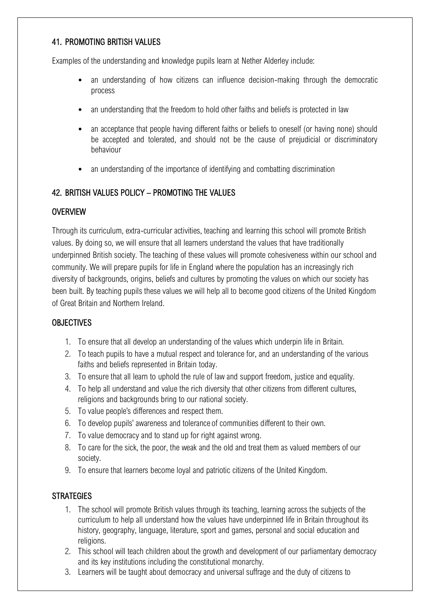#### <span id="page-55-0"></span>41. PROMOTING BRITISH VALUES

Examples of the understanding and knowledge pupils learn at Nether Alderley include:

- an understanding of how citizens can influence decision-making through the democratic process
- an understanding that the freedom to hold other faiths and beliefs is protected in law
- an acceptance that people having different faiths or beliefs to oneself (or having none) should be accepted and tolerated, and should not be the cause of prejudicial or discriminatory behaviour
- an understanding of the importance of identifying and combatting discrimination

# <span id="page-55-1"></span>42. BRITISH VALUES POLICY – PROMOTING THE VALUES

# **OVERVIEW**

Through its curriculum, extra-curricular activities, teaching and learning this school will promote British values. By doing so, we will ensure that all learners understand the values that have traditionally underpinned British society. The teaching of these values will promote cohesiveness within our school and community. We will prepare pupils for life in England where the population has an increasingly rich diversity of backgrounds, origins, beliefs and cultures by promoting the values on which our society has been built. By teaching pupils these values we will help all to become good citizens of the United Kingdom of Great Britain and Northern Ireland.

#### **OBJECTIVES**

- 1. To ensure that all develop an understanding of the values which underpin life in Britain.
- 2. To teach pupils to have a mutual respect and tolerance for, and an understanding of the various faiths and beliefs represented in Britain today.
- 3. To ensure that all learn to uphold the rule of law and support freedom, justice and equality.
- 4. To help all understand and value the rich diversity that other citizens from different cultures, religions and backgrounds bring to our national society.
- 5. To value people's differences and respect them.
- 6. To develop pupils' awareness and tolerance of communities different to their own.
- 7. To value democracy and to stand up for right against wrong.
- 8. To care for the sick, the poor, the weak and the old and treat them as valued members of our society.
- 9. To ensure that learners become loyal and patriotic citizens of the United Kingdom.

# **STRATEGIES**

- 1. The school will promote British values through its teaching, learning across the subjects of the curriculum to help all understand how the values have underpinned life in Britain throughout its history, geography, language, literature, sport and games, personal and social education and religions.
- 2. This school will teach children about the growth and development of our parliamentary democracy and its key institutions including the constitutional monarchy.
- 3. Learners will be taught about democracy and universal suffrage and the duty of citizens to